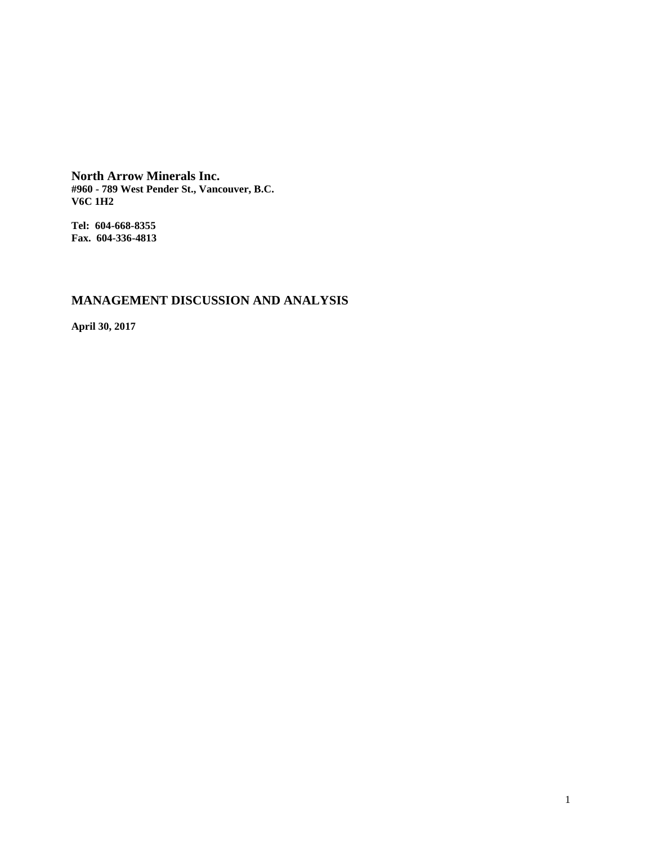**North Arrow Minerals Inc. #960 - 789 West Pender St., Vancouver, B.C. V6C 1H2**

**Tel: 604-668-8355 Fax. 604-336-4813**

# **MANAGEMENT DISCUSSION AND ANALYSIS**

**April 30, 2017**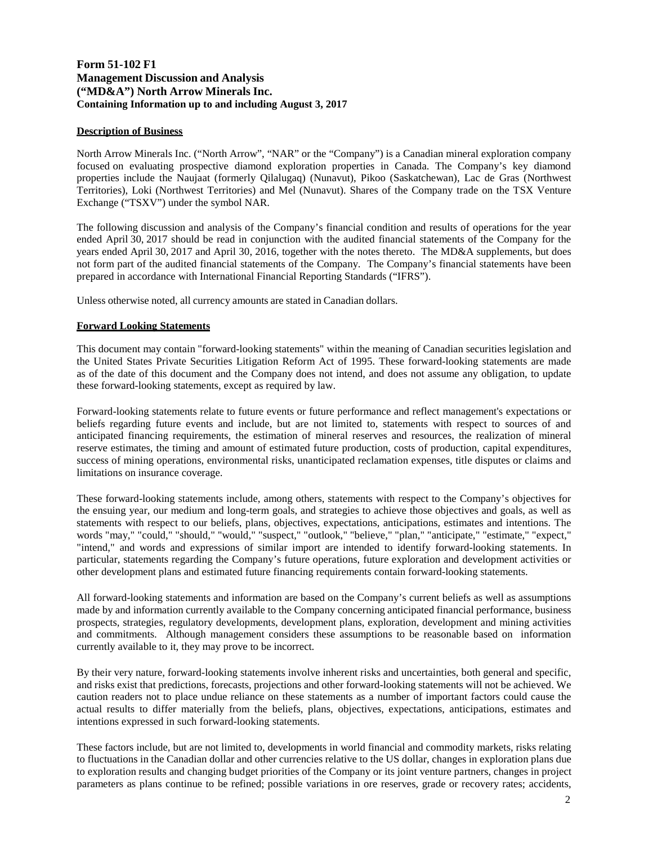# **Form 51-102 F1 Management Discussion and Analysis ("MD&A") North Arrow Minerals Inc. Containing Information up to and including August 3, 2017**

### **Description of Business**

North Arrow Minerals Inc. ("North Arrow", "NAR" or the "Company") is a Canadian mineral exploration company focused on evaluating prospective diamond exploration properties in Canada. The Company's key diamond properties include the Naujaat (formerly Qilalugaq) (Nunavut), Pikoo (Saskatchewan), Lac de Gras (Northwest Territories), Loki (Northwest Territories) and Mel (Nunavut). Shares of the Company trade on the TSX Venture Exchange ("TSXV") under the symbol NAR.

The following discussion and analysis of the Company's financial condition and results of operations for the year ended April 30, 2017 should be read in conjunction with the audited financial statements of the Company for the years ended April 30, 2017 and April 30, 2016, together with the notes thereto. The MD&A supplements, but does not form part of the audited financial statements of the Company. The Company's financial statements have been prepared in accordance with International Financial Reporting Standards ("IFRS").

Unless otherwise noted, all currency amounts are stated in Canadian dollars.

### **Forward Looking Statements**

This document may contain "forward-looking statements" within the meaning of Canadian securities legislation and the United States Private Securities Litigation Reform Act of 1995. These forward-looking statements are made as of the date of this document and the Company does not intend, and does not assume any obligation, to update these forward-looking statements, except as required by law.

Forward-looking statements relate to future events or future performance and reflect management's expectations or beliefs regarding future events and include, but are not limited to, statements with respect to sources of and anticipated financing requirements, the estimation of mineral reserves and resources, the realization of mineral reserve estimates, the timing and amount of estimated future production, costs of production, capital expenditures, success of mining operations, environmental risks, unanticipated reclamation expenses, title disputes or claims and limitations on insurance coverage.

These forward-looking statements include, among others, statements with respect to the Company's objectives for the ensuing year, our medium and long-term goals, and strategies to achieve those objectives and goals, as well as statements with respect to our beliefs, plans, objectives, expectations, anticipations, estimates and intentions. The words "may," "could," "should," "would," "suspect," "outlook," "believe," "plan," "anticipate," "estimate," "expect," "intend," and words and expressions of similar import are intended to identify forward-looking statements. In particular, statements regarding the Company's future operations, future exploration and development activities or other development plans and estimated future financing requirements contain forward-looking statements.

All forward-looking statements and information are based on the Company's current beliefs as well as assumptions made by and information currently available to the Company concerning anticipated financial performance, business prospects, strategies, regulatory developments, development plans, exploration, development and mining activities and commitments. Although management considers these assumptions to be reasonable based on information currently available to it, they may prove to be incorrect.

By their very nature, forward-looking statements involve inherent risks and uncertainties, both general and specific, and risks exist that predictions, forecasts, projections and other forward-looking statements will not be achieved. We caution readers not to place undue reliance on these statements as a number of important factors could cause the actual results to differ materially from the beliefs, plans, objectives, expectations, anticipations, estimates and intentions expressed in such forward-looking statements.

These factors include, but are not limited to, developments in world financial and commodity markets, risks relating to fluctuations in the Canadian dollar and other currencies relative to the US dollar, changes in exploration plans due to exploration results and changing budget priorities of the Company or its joint venture partners, changes in project parameters as plans continue to be refined; possible variations in ore reserves, grade or recovery rates; accidents,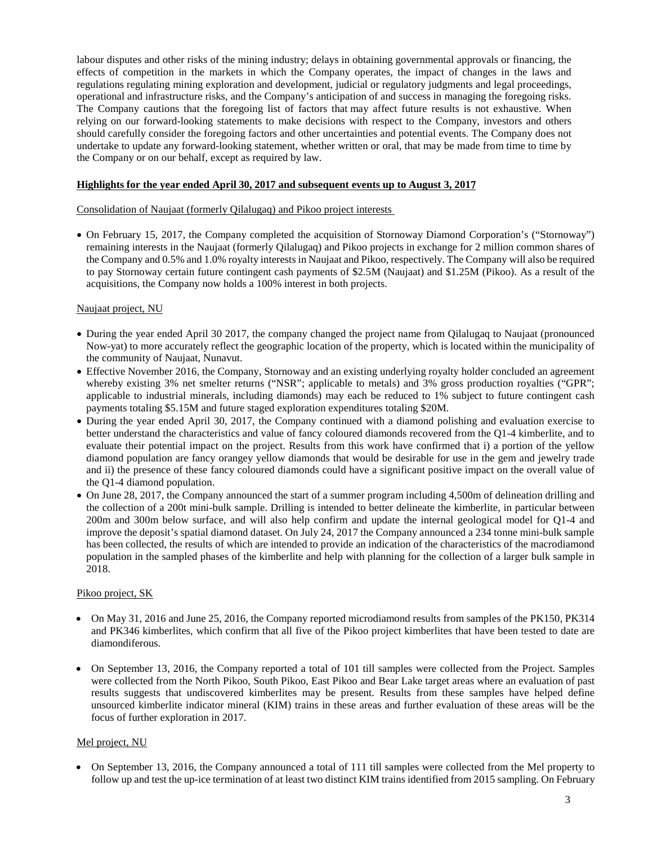labour disputes and other risks of the mining industry; delays in obtaining governmental approvals or financing, the effects of competition in the markets in which the Company operates, the impact of changes in the laws and regulations regulating mining exploration and development, judicial or regulatory judgments and legal proceedings, operational and infrastructure risks, and the Company's anticipation of and success in managing the foregoing risks. The Company cautions that the foregoing list of factors that may affect future results is not exhaustive. When relying on our forward-looking statements to make decisions with respect to the Company, investors and others should carefully consider the foregoing factors and other uncertainties and potential events. The Company does not undertake to update any forward-looking statement, whether written or oral, that may be made from time to time by the Company or on our behalf, except as required by law.

### **Highlights for the year ended April 30, 2017 and subsequent events up to August 3, 201**7

Consolidation of Naujaat (formerly Qilalugaq) and Pikoo project interests

• On February 15, 2017, the Company completed the acquisition of Stornoway Diamond Corporation's ("Stornoway") remaining interests in the Naujaat (formerly Qilalugaq) and Pikoo projects in exchange for 2 million common shares of the Company and 0.5% and 1.0% royalty interests in Naujaat and Pikoo, respectively. The Company will also be required to pay Stornoway certain future contingent cash payments of \$2.5M (Naujaat) and \$1.25M (Pikoo). As a result of the acquisitions, the Company now holds a 100% interest in both projects.

### Naujaat project, NU

- During the year ended April 30 2017, the company changed the project name from Qilalugaq to Naujaat (pronounced Now-yat) to more accurately reflect the geographic location of the property, which is located within the municipality of the community of Naujaat, Nunavut.
- Effective November 2016, the Company, Stornoway and an existing underlying royalty holder concluded an agreement whereby existing 3% net smelter returns ("NSR"; applicable to metals) and 3% gross production royalties ("GPR"; applicable to industrial minerals, including diamonds) may each be reduced to 1% subject to future contingent cash payments totaling \$5.15M and future staged exploration expenditures totaling \$20M.
- During the year ended April 30, 2017, the Company continued with a diamond polishing and evaluation exercise to better understand the characteristics and value of fancy coloured diamonds recovered from the Q1-4 kimberlite, and to evaluate their potential impact on the project. Results from this work have confirmed that i) a portion of the yellow diamond population are fancy orangey yellow diamonds that would be desirable for use in the gem and jewelry trade and ii) the presence of these fancy coloured diamonds could have a significant positive impact on the overall value of the Q1-4 diamond population.
- On June 28, 2017, the Company announced the start of a summer program including 4,500m of delineation drilling and the collection of a 200t mini-bulk sample. Drilling is intended to better delineate the kimberlite, in particular between 200m and 300m below surface, and will also help confirm and update the internal geological model for Q1-4 and improve the deposit's spatial diamond dataset. On July 24, 2017 the Company announced a 234 tonne mini-bulk sample has been collected, the results of which are intended to provide an indication of the characteristics of the macrodiamond population in the sampled phases of the kimberlite and help with planning for the collection of a larger bulk sample in 2018.

### Pikoo project, SK

- On May 31, 2016 and June 25, 2016, the Company reported microdiamond results from samples of the PK150, PK314 and PK346 kimberlites, which confirm that all five of the Pikoo project kimberlites that have been tested to date are diamondiferous.
- On September 13, 2016, the Company reported a total of 101 till samples were collected from the Project. Samples were collected from the North Pikoo, South Pikoo, East Pikoo and Bear Lake target areas where an evaluation of past results suggests that undiscovered kimberlites may be present. Results from these samples have helped define unsourced kimberlite indicator mineral (KIM) trains in these areas and further evaluation of these areas will be the focus of further exploration in 2017.

### Mel project, NU

• On September 13, 2016, the Company announced a total of 111 till samples were collected from the Mel property to follow up and test the up-ice termination of at least two distinct KIM trains identified from 2015 sampling. On February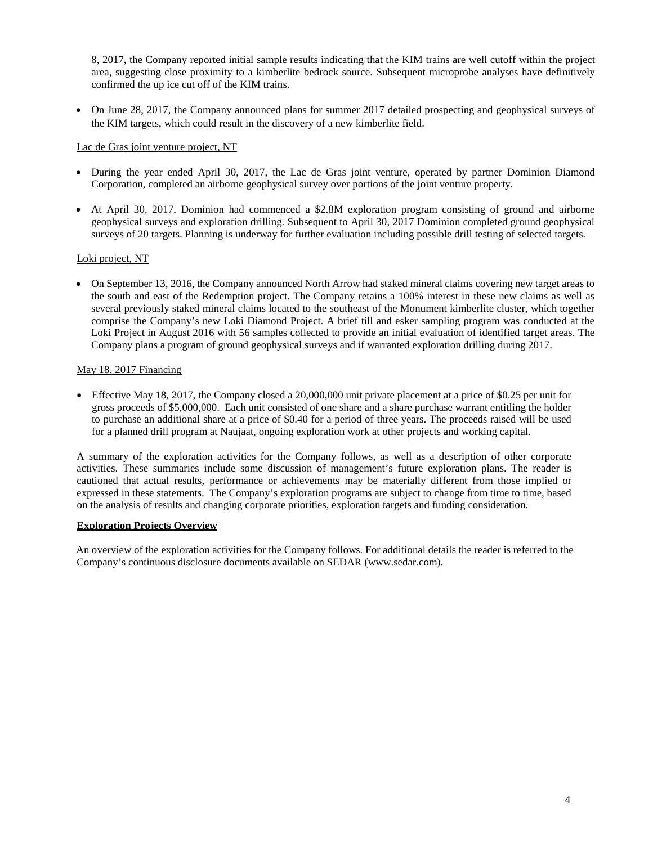8, 2017, the Company reported initial sample results indicating that the KIM trains are well cutoff within the project area, suggesting close proximity to a kimberlite bedrock source. Subsequent microprobe analyses have definitively confirmed the up ice cut off of the KIM trains.

• On June 28, 2017, the Company announced plans for summer 2017 detailed prospecting and geophysical surveys of the KIM targets, which could result in the discovery of a new kimberlite field.

# Lac de Gras joint venture project, NT

- During the year ended April 30, 2017, the Lac de Gras joint venture, operated by partner Dominion Diamond Corporation, completed an airborne geophysical survey over portions of the joint venture property.
- At April 30, 2017, Dominion had commenced a \$2.8M exploration program consisting of ground and airborne geophysical surveys and exploration drilling. Subsequent to April 30, 2017 Dominion completed ground geophysical surveys of 20 targets. Planning is underway for further evaluation including possible drill testing of selected targets.

# Loki project, NT

• On September 13, 2016, the Company announced North Arrow had staked mineral claims covering new target areas to the south and east of the Redemption project. The Company retains a 100% interest in these new claims as well as several previously staked mineral claims located to the southeast of the Monument kimberlite cluster, which together comprise the Company's new Loki Diamond Project. A brief till and esker sampling program was conducted at the Loki Project in August 2016 with 56 samples collected to provide an initial evaluation of identified target areas. The Company plans a program of ground geophysical surveys and if warranted exploration drilling during 2017.

# May 18, 2017 Financing

• Effective May 18, 2017, the Company closed a 20,000,000 unit private placement at a price of \$0.25 per unit for gross proceeds of \$5,000,000. Each unit consisted of one share and a share purchase warrant entitling the holder to purchase an additional share at a price of \$0.40 for a period of three years. The proceeds raised will be used for a planned drill program at Naujaat, ongoing exploration work at other projects and working capital.

A summary of the exploration activities for the Company follows, as well as a description of other corporate activities. These summaries include some discussion of management's future exploration plans. The reader is cautioned that actual results, performance or achievements may be materially different from those implied or expressed in these statements. The Company's exploration programs are subject to change from time to time, based on the analysis of results and changing corporate priorities, exploration targets and funding consideration.

# **Exploration Projects Overview**

An overview of the exploration activities for the Company follows. For additional details the reader is referred to the Company's continuous disclosure documents available on [SEDAR \(www.sedar.com](http://www.sedar.com/)).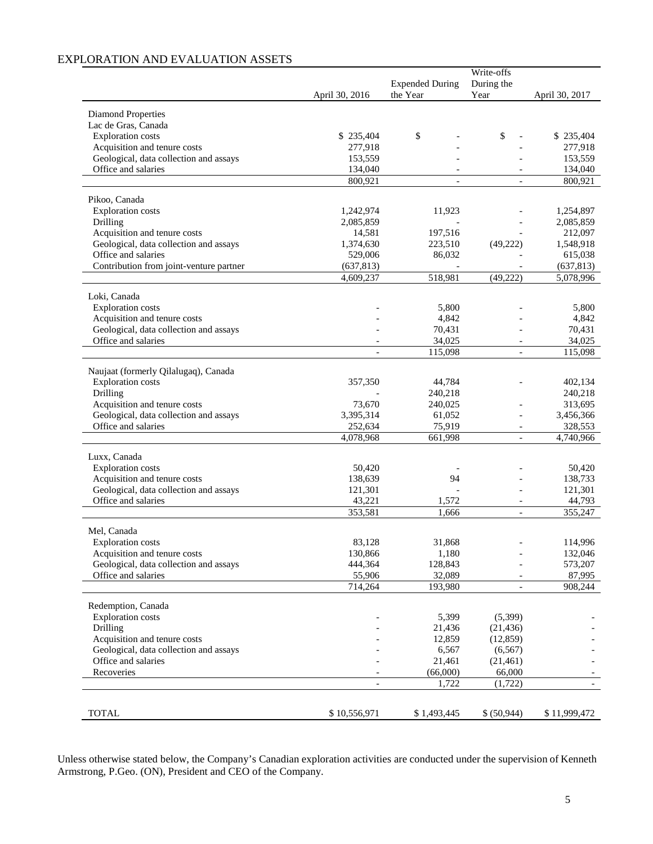# EXPLORATION AND EVALUATION ASSETS

| Write-offs                                                                                               |                                                  |
|----------------------------------------------------------------------------------------------------------|--------------------------------------------------|
| <b>Expended During</b><br>During the<br>the Year<br>Year<br>April 30, 2016                               | April 30, 2017                                   |
|                                                                                                          |                                                  |
| Diamond Properties                                                                                       |                                                  |
| Lac de Gras, Canada                                                                                      |                                                  |
| \$<br><b>Exploration</b> costs<br>\$235,404                                                              | \$<br>\$235,404<br>277,918                       |
| Acquisition and tenure costs<br>277,918<br>Geological, data collection and assays<br>153,559             | 153,559                                          |
| Office and salaries<br>134,040                                                                           | 134,040                                          |
| 800,921                                                                                                  | 800,921                                          |
|                                                                                                          |                                                  |
| Pikoo, Canada                                                                                            |                                                  |
| <b>Exploration</b> costs<br>1,242,974<br>11,923                                                          | 1,254,897                                        |
| Drilling<br>2,085,859<br>197,516                                                                         | 2,085,859                                        |
| Acquisition and tenure costs<br>14,581<br>Geological, data collection and assays<br>1,374,630<br>223,510 | 212,097<br>(49, 222)<br>1,548,918                |
| Office and salaries<br>529,006<br>86,032                                                                 | 615,038                                          |
| Contribution from joint-venture partner<br>(637, 813)                                                    | (637, 813)                                       |
| 4,609,237<br>518,981                                                                                     | (49, 222)<br>5,078,996                           |
|                                                                                                          |                                                  |
| Loki, Canada                                                                                             |                                                  |
| <b>Exploration</b> costs<br>5,800                                                                        | 5,800                                            |
| Acquisition and tenure costs<br>4,842                                                                    | 4,842                                            |
| Geological, data collection and assays<br>70,431<br>Office and salaries<br>34,025                        | 70,431<br>34,025                                 |
| 115,098<br>$\overline{\phantom{a}}$                                                                      | 115,098<br>$\overline{a}$                        |
|                                                                                                          |                                                  |
| Naujaat (formerly Qilalugaq), Canada                                                                     |                                                  |
| <b>Exploration</b> costs<br>357,350<br>44,784                                                            | 402,134                                          |
| Drilling<br>240,218                                                                                      | 240,218                                          |
| Acquisition and tenure costs<br>73,670<br>240,025                                                        | 313,695                                          |
| Geological, data collection and assays<br>3,395,314<br>61,052                                            | 3,456,366<br>$\overline{a}$                      |
| Office and salaries<br>252,634<br>75,919<br>4,078,968<br>661,998                                         | 328,553<br>$\overline{\phantom{a}}$<br>4,740,966 |
|                                                                                                          |                                                  |
| Luxx, Canada                                                                                             |                                                  |
| <b>Exploration</b> costs<br>50,420                                                                       | 50,420                                           |
| Acquisition and tenure costs<br>138,639<br>94                                                            | 138,733                                          |
| Geological, data collection and assays<br>121,301                                                        | 121,301                                          |
| Office and salaries<br>43,221<br>1,572                                                                   | 44,793                                           |
| 353,581<br>1,666                                                                                         | 355,247<br>$\overline{a}$                        |
| Mel, Canada                                                                                              |                                                  |
| 83,128<br>31,868<br><b>Exploration</b> costs                                                             | 114,996                                          |
| Acquisition and tenure costs<br>130,866<br>1,180                                                         | 132,046                                          |
| Geological, data collection and assays<br>128,843<br>444,364                                             | 573,207                                          |
| Office and salaries<br>55,906<br>32,089                                                                  | 87,995<br>$\overline{a}$                         |
| 714,264<br>193,980                                                                                       | 908,244<br>$\overline{\phantom{a}}$              |
| Redemption, Canada                                                                                       |                                                  |
| <b>Exploration</b> costs<br>5,399                                                                        | (5,399)                                          |
| Drilling<br>21,436                                                                                       | (21, 436)                                        |
| Acquisition and tenure costs<br>12,859                                                                   | (12, 859)                                        |
| Geological, data collection and assays<br>6,567                                                          | (6, 567)                                         |
| Office and salaries<br>21,461                                                                            | (21, 461)                                        |
| Recoveries<br>(66,000)                                                                                   | 66,000                                           |
| 1,722<br>$\overline{\phantom{a}}$                                                                        | (1, 722)<br>$ \,$                                |
|                                                                                                          |                                                  |
| <b>TOTAL</b><br>\$10,556,971<br>\$1,493,445                                                              | \$ (50,944)<br>\$11,999,472                      |

Unless otherwise stated below, the Company's Canadian exploration activities are conducted under the supervision of Kenneth Armstrong, P.Geo. (ON), President and CEO of the Company.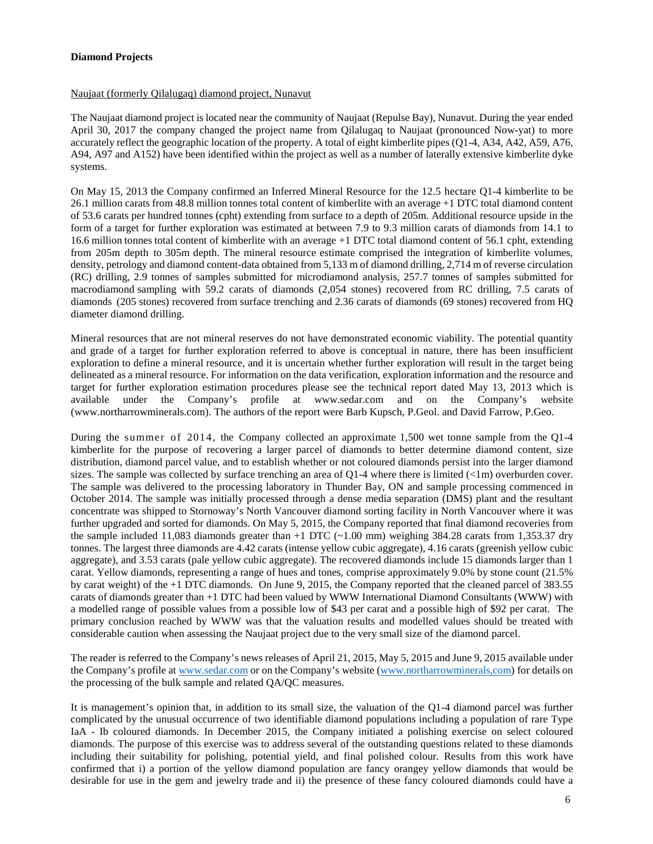### **Diamond Projects**

### Naujaat (formerly Qilalugaq) diamond project, Nunavut

The Naujaat diamond project is located near the community of Naujaat (Repulse Bay), Nunavut. During the year ended April 30, 2017 the company changed the project name from Qilalugaq to Naujaat (pronounced Now-yat) to more accurately reflect the geographic location of the property. A total of eight kimberlite pipes (Q1-4, A34, A42, A59, A76, A94, A97 and A152) have been identified within the project as well as a number of laterally extensive kimberlite dyke systems.

On May 15, 2013 the Company confirmed an Inferred Mineral Resource for the 12.5 hectare Q1-4 kimberlite to be 26.1 million carats from 48.8 million tonnes total content of kimberlite with an average +1 DTC total diamond content of 53.6 carats per hundred tonnes (cpht) extending from surface to a depth of 205m. Additional resource upside in the form of a target for further exploration was estimated at between 7.9 to 9.3 million carats of diamonds from 14.1 to 16.6 million tonnes total content of kimberlite with an average +1 DTC total diamond content of 56.1 cpht, extending from 205m depth to 305m depth. The mineral resource estimate comprised the integration of kimberlite volumes, density, petrology and diamond content-data obtained from 5,133 m of diamond drilling, 2,714 m of reverse circulation (RC) drilling, 2.9 tonnes of samples submitted for microdiamond analysis, 257.7 tonnes of samples submitted for macrodiamond sampling with 59.2 carats of diamonds (2,054 stones) recovered from RC drilling, 7.5 carats of diamonds (205 stones) recovered from surface trenching and 2.36 carats of diamonds (69 stones) recovered from HQ diameter diamond drilling.

Mineral resources that are not mineral reserves do not have demonstrated economic viability. The potential quantity and grade of a target for further exploration referred to above is conceptual in nature, there has been insufficient exploration to define a mineral resource, and it is uncertain whether further exploration will result in the target being delineated as a mineral resource. For information on the data verification, exploration information and the resource and target for further exploration estimation procedures please see the technical report dated May 13, 2013 which is available under the Company's profile at [www.sedar.com](http://www.sedar.com/) and on the Company's website [\(www.northarrowminerals.com\)](http://www.northarrowminerals.com/). The authors of the report were Barb Kupsch, P.Geol. and David Farrow, P.Geo.

During the summer of 2014, the Company collected an approximate 1,500 wet tonne sample from the Q1-4 kimberlite for the purpose of recovering a larger parcel of diamonds to better determine diamond content, size distribution, diamond parcel value, and to establish whether or not coloured diamonds persist into the larger diamond sizes. The sample was collected by surface trenching an area of Q1-4 where there is limited (<1m) overburden cover. The sample was delivered to the processing laboratory in Thunder Bay, ON and sample processing commenced in October 2014. The sample was initially processed through a dense media separation (DMS) plant and the resultant concentrate was shipped to Stornoway's North Vancouver diamond sorting facility in North Vancouver where it was further upgraded and sorted for diamonds. On May 5, 2015, the Company reported that final diamond recoveries from the sample included 11,083 diamonds greater than  $+1$  DTC ( $\sim$ 1.00 mm) weighing 384.28 carats from 1,353.37 dry tonnes. The largest three diamonds are 4.42 carats (intense yellow cubic aggregate), 4.16 carats (greenish yellow cubic aggregate), and 3.53 carats (pale yellow cubic aggregate). The recovered diamonds include 15 diamonds larger than 1 carat. Yellow diamonds, representing a range of hues and tones, comprise approximately 9.0% by stone count (21.5% by carat weight) of the +1 DTC diamonds. On June 9, 2015, the Company reported that the cleaned parcel of 383.55 carats of diamonds greater than +1 DTC had been valued by WWW International Diamond Consultants (WWW) with a modelled range of possible values from a possible low of \$43 per carat and a possible high of \$92 per carat. The primary conclusion reached by WWW was that the valuation results and modelled values should be treated with considerable caution when assessing the Naujaat project due to the very small size of the diamond parcel.

The reader is referred to the Company's news releases of April 21, 2015, May 5, 2015 and June 9, 2015 available under the Company's profile a[t www.sedar.com](http://www.sedar.com/) or on the Company's website [\(www.northarrowminerals,com\)](http://www.northarrowminerals,com/) for details on the processing of the bulk sample and related QA/QC measures.

It is management's opinion that, in addition to its small size, the valuation of the Q1-4 diamond parcel was further complicated by the unusual occurrence of two identifiable diamond populations including a population of rare Type IaA - Ib coloured diamonds. In December 2015, the Company initiated a polishing exercise on select coloured diamonds. The purpose of this exercise was to address several of the outstanding questions related to these diamonds including their suitability for polishing, potential yield, and final polished colour. Results from this work have confirmed that i) a portion of the yellow diamond population are fancy orangey yellow diamonds that would be desirable for use in the gem and jewelry trade and ii) the presence of these fancy coloured diamonds could have a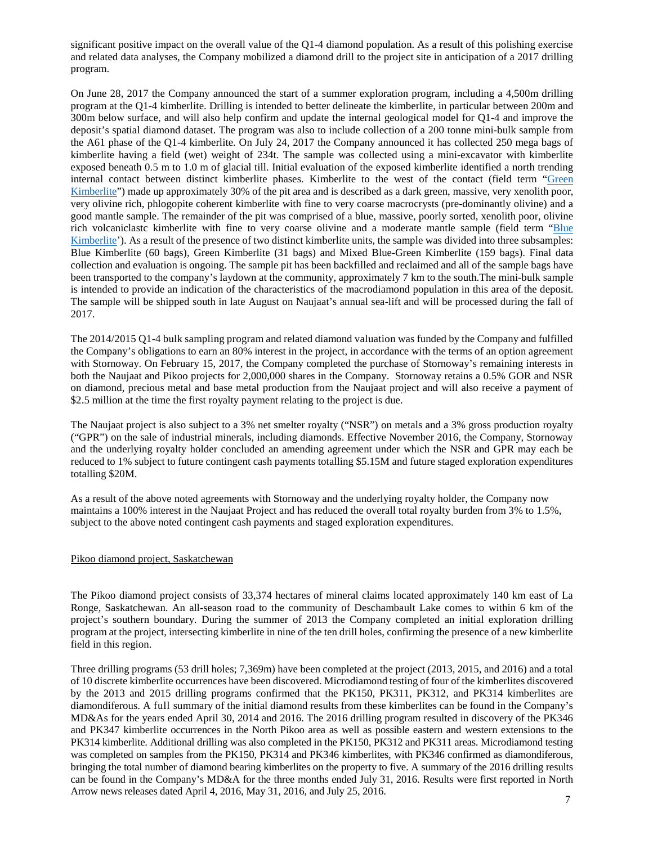significant positive impact on the overall value of the Q1-4 diamond population. As a result of this polishing exercise and related data analyses, the Company mobilized a diamond drill to the project site in anticipation of a 2017 drilling program.

On June 28, 2017 the Company announced the start of a summer exploration program, including a 4,500m drilling program at the Q1-4 kimberlite. Drilling is intended to better delineate the kimberlite, in particular between 200m and 300m below surface, and will also help confirm and update the internal geological model for Q1-4 and improve the deposit's spatial diamond dataset. The program was also to include collection of a 200 tonne mini-bulk sample from the A61 phase of the Q1-4 kimberlite. On July 24, 2017 the Company announced it has collected 250 mega bags of kimberlite having a field (wet) weight of 234t. The sample was collected using a mini-excavator with kimberlite exposed beneath 0.5 m to 1.0 m of glacial till. Initial evaluation of the exposed kimberlite identified a north trending internal contact between distinct kimberlite phases. Kimberlite to the west of the contact (field term ["Green](https://flic.kr/p/WEAA3U)  [Kimberlite"](https://flic.kr/p/WEAA3U)) made up approximately 30% of the pit area and is described as a dark green, massive, very xenolith poor, very olivine rich, phlogopite coherent kimberlite with fine to very coarse macrocrysts (pre-dominantly olivine) and a good mantle sample. The remainder of the pit was comprised of a blue, massive, poorly sorted, xenolith poor, olivine rich volcaniclastc kimberlite with fine to very coarse olivine and a moderate mantle sample (field term ["Blue](https://flic.kr/p/WkiHG7)  [Kimberlite'](https://flic.kr/p/WkiHG7)). As a result of the presence of two distinct kimberlite units, the sample was divided into three subsamples: Blue Kimberlite (60 bags), Green Kimberlite (31 bags) and Mixed Blue-Green Kimberlite (159 bags). Final data collection and evaluation is ongoing. The sample pit has been backfilled and reclaimed and all of the sample bags have been transported to the company's laydown at the community, approximately 7 km to the south.The mini-bulk sample is intended to provide an indication of the characteristics of the macrodiamond population in this area of the deposit. The sample will be shipped south in late August on Naujaat's annual sea-lift and will be processed during the fall of 2017.

The 2014/2015 Q1-4 bulk sampling program and related diamond valuation was funded by the Company and fulfilled the Company's obligations to earn an 80% interest in the project, in accordance with the terms of an option agreement with Stornoway. On February 15, 2017, the Company completed the purchase of Stornoway's remaining interests in both the Naujaat and Pikoo projects for 2,000,000 shares in the Company. Stornoway retains a 0.5% GOR and NSR on diamond, precious metal and base metal production from the Naujaat project and will also receive a payment of \$2.5 million at the time the first royalty payment relating to the project is due.

The Naujaat project is also subject to a 3% net smelter royalty ("NSR") on metals and a 3% gross production royalty ("GPR") on the sale of industrial minerals, including diamonds. Effective November 2016, the Company, Stornoway and the underlying royalty holder concluded an amending agreement under which the NSR and GPR may each be reduced to 1% subject to future contingent cash payments totalling \$5.15M and future staged exploration expenditures totalling \$20M.

As a result of the above noted agreements with Stornoway and the underlying royalty holder, the Company now maintains a 100% interest in the Naujaat Project and has reduced the overall total royalty burden from 3% to 1.5%, subject to the above noted contingent cash payments and staged exploration expenditures.

### Pikoo diamond project, Saskatchewan

The Pikoo diamond project consists of 33,374 hectares of mineral claims located approximately 140 km east of La Ronge, Saskatchewan. An all-season road to the community of Deschambault Lake comes to within 6 km of the project's southern boundary. During the summer of 2013 the Company completed an initial exploration drilling program at the project, intersecting kimberlite in nine of the ten drill holes, confirming the presence of a new kimberlite field in this region.

Three drilling programs (53 drill holes; 7,369m) have been completed at the project (2013, 2015, and 2016) and a total of 10 discrete kimberlite occurrences have been discovered. Microdiamond testing of four of the kimberlites discovered by the 2013 and 2015 drilling programs confirmed that the PK150, PK311, PK312, and PK314 kimberlites are diamondiferous. A full summary of the initial diamond results from these kimberlites can be found in the Company's MD&As for the years ended April 30, 2014 and 2016. The 2016 drilling program resulted in discovery of the PK346 and PK347 kimberlite occurrences in the North Pikoo area as well as possible eastern and western extensions to the PK314 kimberlite. Additional drilling was also completed in the PK150, PK312 and PK311 areas. Microdiamond testing was completed on samples from the PK150, PK314 and PK346 kimberlites, with PK346 confirmed as diamondiferous, bringing the total number of diamond bearing kimberlites on the property to five. A summary of the 2016 drilling results can be found in the Company's MD&A for the three months ended July 31, 2016. Results were first reported in North Arrow news releases dated April 4, 2016, May 31, 2016, and July 25, 2016.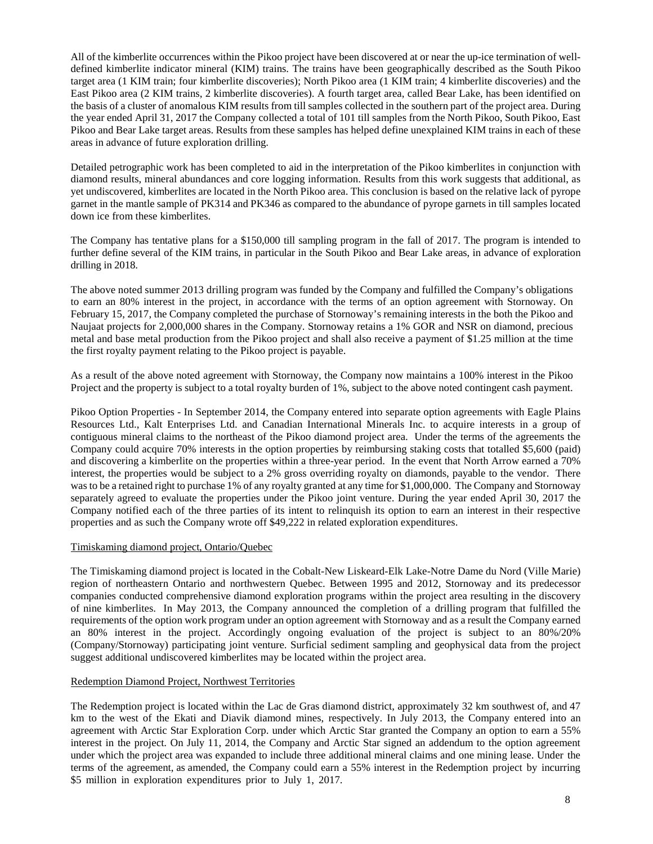All of the kimberlite occurrences within the Pikoo project have been discovered at or near the up-ice termination of welldefined kimberlite indicator mineral (KIM) trains. The trains have been geographically described as the South Pikoo target area (1 KIM train; four kimberlite discoveries); North Pikoo area (1 KIM train; 4 kimberlite discoveries) and the East Pikoo area (2 KIM trains, 2 kimberlite discoveries). A fourth target area, called Bear Lake, has been identified on the basis of a cluster of anomalous KIM results from till samples collected in the southern part of the project area. During the year ended April 31, 2017 the Company collected a total of 101 till samples from the North Pikoo, South Pikoo, East Pikoo and Bear Lake target areas. Results from these samples has helped define unexplained KIM trains in each of these areas in advance of future exploration drilling.

Detailed petrographic work has been completed to aid in the interpretation of the Pikoo kimberlites in conjunction with diamond results, mineral abundances and core logging information. Results from this work suggests that additional, as yet undiscovered, kimberlites are located in the North Pikoo area. This conclusion is based on the relative lack of pyrope garnet in the mantle sample of PK314 and PK346 as compared to the abundance of pyrope garnets in till samples located down ice from these kimberlites.

The Company has tentative plans for a \$150,000 till sampling program in the fall of 2017. The program is intended to further define several of the KIM trains, in particular in the South Pikoo and Bear Lake areas, in advance of exploration drilling in 2018.

The above noted summer 2013 drilling program was funded by the Company and fulfilled the Company's obligations to earn an 80% interest in the project, in accordance with the terms of an option agreement with Stornoway. On February 15, 2017, the Company completed the purchase of Stornoway's remaining interests in the both the Pikoo and Naujaat projects for 2,000,000 shares in the Company. Stornoway retains a 1% GOR and NSR on diamond, precious metal and base metal production from the Pikoo project and shall also receive a payment of \$1.25 million at the time the first royalty payment relating to the Pikoo project is payable.

As a result of the above noted agreement with Stornoway, the Company now maintains a 100% interest in the Pikoo Project and the property is subject to a total royalty burden of 1%, subject to the above noted contingent cash payment.

Pikoo Option Properties - In September 2014, the Company entered into separate option agreements with Eagle Plains Resources Ltd., Kalt Enterprises Ltd. and Canadian International Minerals Inc. to acquire interests in a group of contiguous mineral claims to the northeast of the Pikoo diamond project area. Under the terms of the agreements the Company could acquire 70% interests in the option properties by reimbursing staking costs that totalled \$5,600 (paid) and discovering a kimberlite on the properties within a three-year period. In the event that North Arrow earned a 70% interest, the properties would be subject to a 2% gross overriding royalty on diamonds, payable to the vendor. There was to be a retained right to purchase 1% of any royalty granted at any time for \$1,000,000. The Company and Stornoway separately agreed to evaluate the properties under the Pikoo joint venture. During the year ended April 30, 2017 the Company notified each of the three parties of its intent to relinquish its option to earn an interest in their respective properties and as such the Company wrote off \$49,222 in related exploration expenditures.

# Timiskaming diamond project, Ontario/Quebec

The Timiskaming diamond project is located in the Cobalt-New Liskeard-Elk Lake-Notre Dame du Nord (Ville Marie) region of northeastern Ontario and northwestern Quebec. Between 1995 and 2012, Stornoway and its predecessor companies conducted comprehensive diamond exploration programs within the project area resulting in the discovery of nine kimberlites. In May 2013, the Company announced the completion of a drilling program that fulfilled the requirements of the option work program under an option agreement with Stornoway and as a result the Company earned an 80% interest in the project. Accordingly ongoing evaluation of the project is subject to an 80%/20% (Company/Stornoway) participating joint venture. Surficial sediment sampling and geophysical data from the project suggest additional undiscovered kimberlites may be located within the project area.

### Redemption Diamond Project, Northwest Territories

The Redemption project is located within the Lac de Gras diamond district, approximately 32 km southwest of, and 47 km to the west of the Ekati and Diavik diamond mines, respectively. In July 2013, the Company entered into an agreement with Arctic Star Exploration Corp. under which Arctic Star granted the Company an option to earn a 55% interest in the project. On July 11, 2014, the Company and Arctic Star signed an addendum to the option agreement under which the project area was expanded to include three additional mineral claims and one mining lease. Under the terms of the agreement, as amended, the Company could earn a 55% interest in the Redemption project by incurring \$5 million in exploration expenditures prior to July 1, 2017.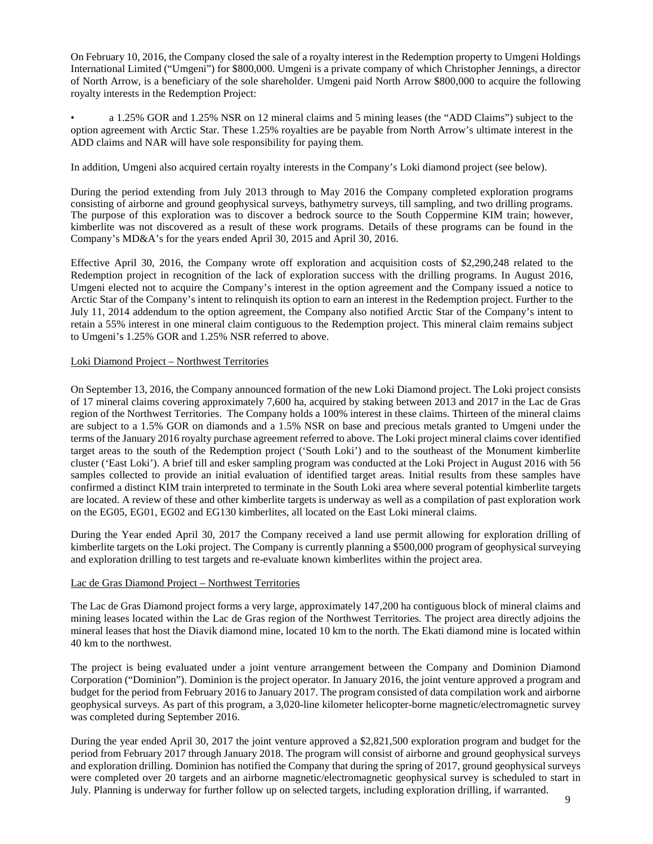On February 10, 2016, the Company closed the sale of a royalty interest in the Redemption property to Umgeni Holdings International Limited ("Umgeni") for \$800,000. Umgeni is a private company of which Christopher Jennings, a director of North Arrow, is a beneficiary of the sole shareholder. Umgeni paid North Arrow \$800,000 to acquire the following royalty interests in the Redemption Project:

• a 1.25% GOR and 1.25% NSR on 12 mineral claims and 5 mining leases (the "ADD Claims") subject to the option agreement with Arctic Star. These 1.25% royalties are be payable from North Arrow's ultimate interest in the ADD claims and NAR will have sole responsibility for paying them.

In addition, Umgeni also acquired certain royalty interests in the Company's Loki diamond project (see below).

During the period extending from July 2013 through to May 2016 the Company completed exploration programs consisting of airborne and ground geophysical surveys, bathymetry surveys, till sampling, and two drilling programs. The purpose of this exploration was to discover a bedrock source to the South Coppermine KIM train; however, kimberlite was not discovered as a result of these work programs. Details of these programs can be found in the Company's MD&A's for the years ended April 30, 2015 and April 30, 2016.

Effective April 30, 2016, the Company wrote off exploration and acquisition costs of \$2,290,248 related to the Redemption project in recognition of the lack of exploration success with the drilling programs. In August 2016, Umgeni elected not to acquire the Company's interest in the option agreement and the Company issued a notice to Arctic Star of the Company's intent to relinquish its option to earn an interest in the Redemption project. Further to the July 11, 2014 addendum to the option agreement, the Company also notified Arctic Star of the Company's intent to retain a 55% interest in one mineral claim contiguous to the Redemption project. This mineral claim remains subject to Umgeni's 1.25% GOR and 1.25% NSR referred to above.

### Loki Diamond Project – Northwest Territories

On September 13, 2016, the Company announced formation of the new Loki Diamond project. The Loki project consists of 17 mineral claims covering approximately 7,600 ha, acquired by staking between 2013 and 2017 in the Lac de Gras region of the Northwest Territories. The Company holds a 100% interest in these claims. Thirteen of the mineral claims are subject to a 1.5% GOR on diamonds and a 1.5% NSR on base and precious metals granted to Umgeni under the terms of the January 2016 royalty purchase agreement referred to above. The Loki project mineral claims cover identified target areas to the south of the Redemption project ('South Loki') and to the southeast of the Monument kimberlite cluster ('East Loki'). A brief till and esker sampling program was conducted at the Loki Project in August 2016 with 56 samples collected to provide an initial evaluation of identified target areas. Initial results from these samples have confirmed a distinct KIM train interpreted to terminate in the South Loki area where several potential kimberlite targets are located. A review of these and other kimberlite targets is underway as well as a compilation of past exploration work on the EG05, EG01, EG02 and EG130 kimberlites, all located on the East Loki mineral claims.

During the Year ended April 30, 2017 the Company received a land use permit allowing for exploration drilling of kimberlite targets on the Loki project. The Company is currently planning a \$500,000 program of geophysical surveying and exploration drilling to test targets and re-evaluate known kimberlites within the project area.

# Lac de Gras Diamond Project – Northwest Territories

The Lac de Gras Diamond project forms a very large, approximately 147,200 ha contiguous block of mineral claims and mining leases located within the Lac de Gras region of the Northwest Territories. The project area directly adjoins the mineral leases that host the Diavik diamond mine, located 10 km to the north. The Ekati diamond mine is located within 40 km to the northwest.

The project is being evaluated under a joint venture arrangement between the Company and Dominion Diamond Corporation ("Dominion"). Dominion is the project operator. In January 2016, the joint venture approved a program and budget for the period from February 2016 to January 2017. The program consisted of data compilation work and airborne geophysical surveys. As part of this program, a 3,020-line kilometer helicopter-borne magnetic/electromagnetic survey was completed during September 2016.

During the year ended April 30, 2017 the joint venture approved a \$2,821,500 exploration program and budget for the period from February 2017 through January 2018. The program will consist of airborne and ground geophysical surveys and exploration drilling. Dominion has notified the Company that during the spring of 2017, ground geophysical surveys were completed over 20 targets and an airborne magnetic/electromagnetic geophysical survey is scheduled to start in July. Planning is underway for further follow up on selected targets, including exploration drilling, if warranted.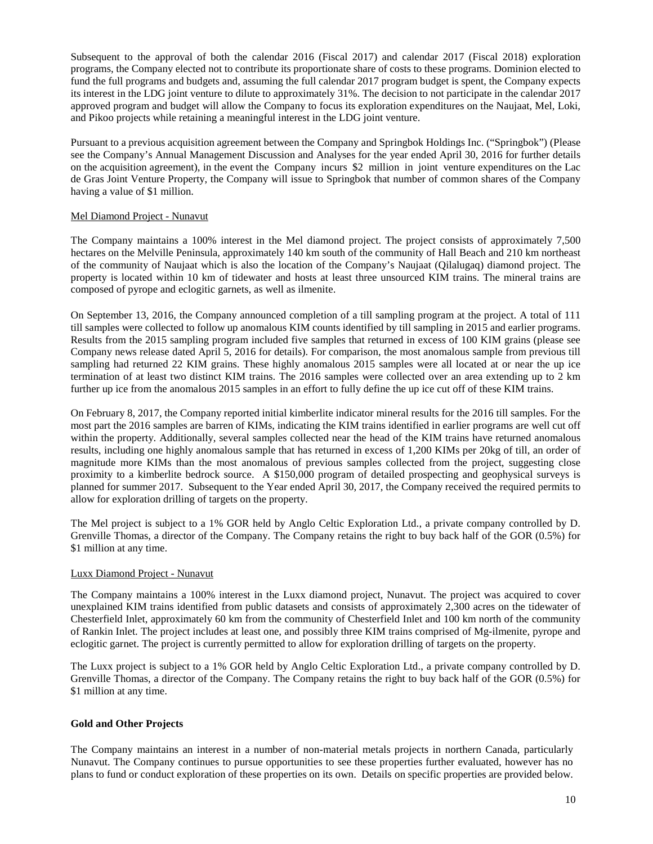Subsequent to the approval of both the calendar 2016 (Fiscal 2017) and calendar 2017 (Fiscal 2018) exploration programs, the Company elected not to contribute its proportionate share of costs to these programs. Dominion elected to fund the full programs and budgets and, assuming the full calendar 2017 program budget is spent, the Company expects its interest in the LDG joint venture to dilute to approximately 31%. The decision to not participate in the calendar 2017 approved program and budget will allow the Company to focus its exploration expenditures on the Naujaat, Mel, Loki, and Pikoo projects while retaining a meaningful interest in the LDG joint venture.

Pursuant to a previous acquisition agreement between the Company and Springbok Holdings Inc. ("Springbok") (Please see the Company's Annual Management Discussion and Analyses for the year ended April 30, 2016 for further details on the acquisition agreement), in the event the Company incurs \$2 million in joint venture expenditures on the Lac de Gras Joint Venture Property, the Company will issue to Springbok that number of common shares of the Company having a value of \$1 million.

### Mel Diamond Project - Nunavut

The Company maintains a 100% interest in the Mel diamond project. The project consists of approximately 7,500 hectares on the Melville Peninsula, approximately 140 km south of the community of Hall Beach and 210 km northeast of the community of Naujaat which is also the location of the Company's Naujaat (Qilalugaq) diamond project. The property is located within 10 km of tidewater and hosts at least three unsourced KIM trains. The mineral trains are composed of pyrope and eclogitic garnets, as well as ilmenite.

On September 13, 2016, the Company announced completion of a till sampling program at the project. A total of 111 till samples were collected to follow up anomalous KIM counts identified by till sampling in 2015 and earlier programs. Results from the 2015 sampling program included five samples that returned in excess of 100 KIM grains (please see Company news release dated April 5, 2016 for details). For comparison, the most anomalous sample from previous till sampling had returned 22 KIM grains. These highly anomalous 2015 samples were all located at or near the up ice termination of at least two distinct KIM trains. The 2016 samples were collected over an area extending up to 2 km further up ice from the anomalous 2015 samples in an effort to fully define the up ice cut off of these KIM trains.

On February 8, 2017, the Company reported initial kimberlite indicator mineral results for the 2016 till samples. For the most part the 2016 samples are barren of KIMs, indicating the KIM trains identified in earlier programs are well cut off within the property. Additionally, several samples collected near the head of the KIM trains have returned anomalous results, including one highly anomalous sample that has returned in excess of 1,200 KIMs per 20kg of till, an order of magnitude more KIMs than the most anomalous of previous samples collected from the project, suggesting close proximity to a kimberlite bedrock source. A \$150,000 program of detailed prospecting and geophysical surveys is planned for summer 2017. Subsequent to the Year ended April 30, 2017, the Company received the required permits to allow for exploration drilling of targets on the property.

The Mel project is subject to a 1% GOR held by Anglo Celtic Exploration Ltd., a private company controlled by D. Grenville Thomas, a director of the Company. The Company retains the right to buy back half of the GOR (0.5%) for \$1 million at any time.

### Luxx Diamond Project - Nunavut

The Company maintains a 100% interest in the Luxx diamond project, Nunavut. The project was acquired to cover unexplained KIM trains identified from public datasets and consists of approximately 2,300 acres on the tidewater of Chesterfield Inlet, approximately 60 km from the community of Chesterfield Inlet and 100 km north of the community of Rankin Inlet. The project includes at least one, and possibly three KIM trains comprised of Mg-ilmenite, pyrope and eclogitic garnet. The project is currently permitted to allow for exploration drilling of targets on the property.

The Luxx project is subject to a 1% GOR held by Anglo Celtic Exploration Ltd., a private company controlled by D. Grenville Thomas, a director of the Company. The Company retains the right to buy back half of the GOR (0.5%) for \$1 million at any time.

# **Gold and Other Projects**

The Company maintains an interest in a number of non-material metals projects in northern Canada, particularly Nunavut. The Company continues to pursue opportunities to see these properties further evaluated, however has no plans to fund or conduct exploration of these properties on its own. Details on specific properties are provided below.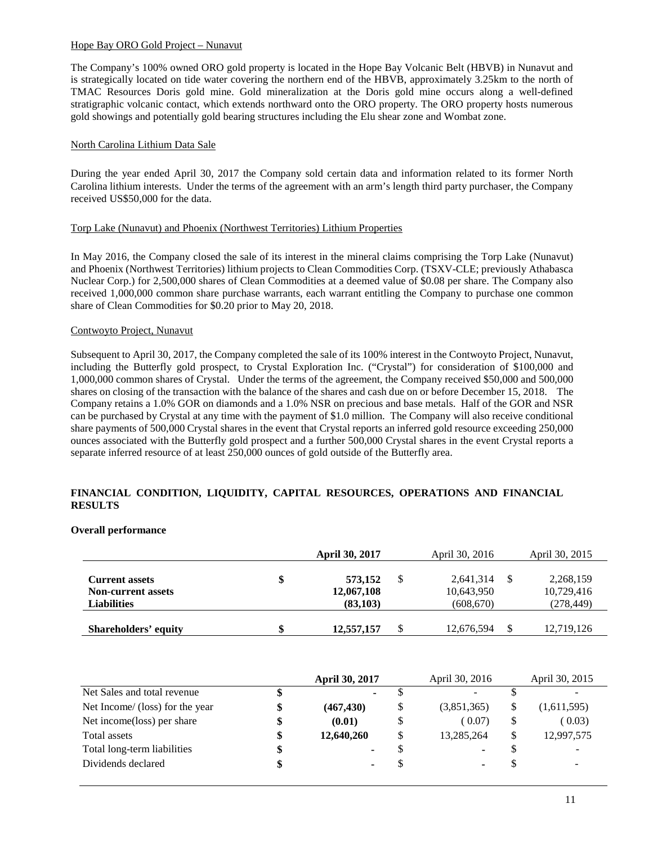### Hope Bay ORO Gold Project – Nunavut

The Company's 100% owned ORO gold property is located in the Hope Bay Volcanic Belt (HBVB) in Nunavut and is strategically located on tide water covering the northern end of the HBVB, approximately 3.25km to the north of TMAC Resources Doris gold mine. Gold mineralization at the Doris gold mine occurs along a well-defined stratigraphic volcanic contact, which extends northward onto the ORO property. The ORO property hosts numerous gold showings and potentially gold bearing structures including the Elu shear zone and Wombat zone.

# North Carolina Lithium Data Sale

During the year ended April 30, 2017 the Company sold certain data and information related to its former North Carolina lithium interests. Under the terms of the agreement with an arm's length third party purchaser, the Company received US\$50,000 for the data.

# Torp Lake (Nunavut) and Phoenix (Northwest Territories) Lithium Properties

In May 2016, the Company closed the sale of its interest in the mineral claims comprising the Torp Lake (Nunavut) and Phoenix (Northwest Territories) lithium projects to Clean Commodities Corp. (TSXV-CLE; previously Athabasca Nuclear Corp.) for 2,500,000 shares of Clean Commodities at a deemed value of \$0.08 per share. The Company also received 1,000,000 common share purchase warrants, each warrant entitling the Company to purchase one common share of Clean Commodities for \$0.20 prior to May 20, 2018.

# Contwoyto Project, Nunavut

Subsequent to April 30, 2017, the Company completed the sale of its 100% interest in the Contwoyto Project, Nunavut, including the Butterfly gold prospect, to Crystal Exploration Inc. ("Crystal") for consideration of \$100,000 and 1,000,000 common shares of Crystal. Under the terms of the agreement, the Company received \$50,000 and 500,000 shares on closing of the transaction with the balance of the shares and cash due on or before December 15, 2018. The Company retains a 1.0% GOR on diamonds and a 1.0% NSR on precious and base metals. Half of the GOR and NSR can be purchased by Crystal at any time with the payment of \$1.0 million. The Company will also receive conditional share payments of 500,000 Crystal shares in the event that Crystal reports an inferred gold resource exceeding 250,000 ounces associated with the Butterfly gold prospect and a further 500,000 Crystal shares in the event Crystal reports a separate inferred resource of at least 250,000 ounces of gold outside of the Butterfly area.

# **FINANCIAL CONDITION, LIQUIDITY, CAPITAL RESOURCES, OPERATIONS AND FINANCIAL RESULTS**

# **Overall performance**

|                                                                          | <b>April 30, 2017</b>                    | April 30, 2016                        | April 30, 2015                        |
|--------------------------------------------------------------------------|------------------------------------------|---------------------------------------|---------------------------------------|
| <b>Current assets</b><br><b>Non-current assets</b><br><b>Liabilities</b> | \$<br>573,152<br>12,067,108<br>(83, 103) | 2,641,314<br>10,643,950<br>(608, 670) | 2,268,159<br>10,729,416<br>(278, 449) |
| Shareholders' equity                                                     | \$<br>12,557,157                         | \$<br>12,676,594                      | 12,719,126                            |

|                                 |    | <b>April 30, 2017</b> | April 30, 2016           |    | April 30, 2015 |
|---------------------------------|----|-----------------------|--------------------------|----|----------------|
| Net Sales and total revenue     | ъ  |                       | $\overline{\phantom{a}}$ |    |                |
| Net Income/ (loss) for the year | \$ | (467, 430)            | \$<br>(3,851,365)        | \$ | (1,611,595)    |
| Net income(loss) per share      | \$ | (0.01)                | \$<br>(0.07)             | \$ | (0.03)         |
| Total assets                    | \$ | 12,640,260            | \$<br>13,285,264         | \$ | 12,997,575     |
| Total long-term liabilities     | \$ |                       | ۰                        | S  |                |
| Dividends declared              | \$ |                       | ۰                        | S  |                |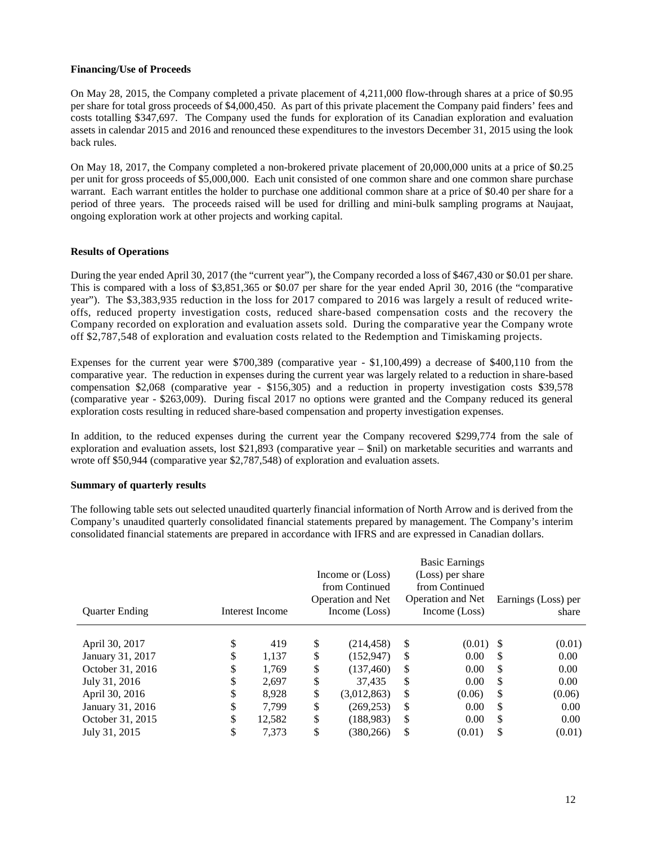### **Financing/Use of Proceeds**

On May 28, 2015, the Company completed a private placement of 4,211,000 flow-through shares at a price of \$0.95 per share for total gross proceeds of \$4,000,450. As part of this private placement the Company paid finders' fees and costs totalling \$347,697. The Company used the funds for exploration of its Canadian exploration and evaluation assets in calendar 2015 and 2016 and renounced these expenditures to the investors December 31, 2015 using the look back rules.

On May 18, 2017, the Company completed a non-brokered private placement of 20,000,000 units at a price of \$0.25 per unit for gross proceeds of \$5,000,000. Each unit consisted of one common share and one common share purchase warrant. Each warrant entitles the holder to purchase one additional common share at a price of \$0.40 per share for a period of three years. The proceeds raised will be used for drilling and mini-bulk sampling programs at Naujaat, ongoing exploration work at other projects and working capital.

### **Results of Operations**

During the year ended April 30, 2017 (the "current year"), the Company recorded a loss of \$467,430 or \$0.01 per share. This is compared with a loss of \$3,851,365 or \$0.07 per share for the year ended April 30, 2016 (the "comparative year"). The \$3,383,935 reduction in the loss for 2017 compared to 2016 was largely a result of reduced writeoffs, reduced property investigation costs, reduced share-based compensation costs and the recovery the Company recorded on exploration and evaluation assets sold. During the comparative year the Company wrote off \$2,787,548 of exploration and evaluation costs related to the Redemption and Timiskaming projects.

Expenses for the current year were \$700,389 (comparative year - \$1,100,499) a decrease of \$400,110 from the comparative year. The reduction in expenses during the current year was largely related to a reduction in share-based compensation \$2,068 (comparative year - \$156,305) and a reduction in property investigation costs \$39,578 (comparative year - \$263,009). During fiscal 2017 no options were granted and the Company reduced its general exploration costs resulting in reduced share-based compensation and property investigation expenses.

In addition, to the reduced expenses during the current year the Company recovered \$299,774 from the sale of exploration and evaluation assets, lost \$21,893 (comparative year – \$nil) on marketable securities and warrants and wrote off \$50,944 (comparative year \$2,787,548) of exploration and evaluation assets.

### **Summary of quarterly results**

The following table sets out selected unaudited quarterly financial information of North Arrow and is derived from the Company's unaudited quarterly consolidated financial statements prepared by management. The Company's interim consolidated financial statements are prepared in accordance with IFRS and are expressed in Canadian dollars.

|                       |                 | Income or (Loss)<br>from Continued |    | <b>Basic Earnings</b><br>(Loss) per share<br>from Continued |    |                     |
|-----------------------|-----------------|------------------------------------|----|-------------------------------------------------------------|----|---------------------|
|                       |                 | <b>Operation and Net</b>           |    | <b>Operation and Net</b>                                    |    | Earnings (Loss) per |
| <b>Ouarter Ending</b> | Interest Income | Income (Loss)                      |    | Income (Loss)                                               |    | share               |
| April 30, 2017        | \$<br>419       | \$<br>(214, 458)                   | \$ | $(0.01)$ \$                                                 |    | (0.01)              |
| January 31, 2017      | \$<br>1.137     | \$<br>(152, 947)                   | \$ | 0.00                                                        | S  | 0.00                |
| October 31, 2016      | \$<br>1.769     | \$<br>(137.460)                    | \$ | 0.00                                                        | \$ | 0.00                |
| July 31, 2016         | \$<br>2,697     | \$<br>37.435                       | \$ | 0.00                                                        | \$ | 0.00                |
| April 30, 2016        | \$<br>8.928     | \$<br>(3,012,863)                  | \$ | (0.06)                                                      | \$ | (0.06)              |
| January 31, 2016      | \$<br>7.799     | \$<br>(269, 253)                   | S  | 0.00                                                        | \$ | 0.00                |
| October 31, 2015      | \$<br>12,582    | \$<br>(188, 983)                   | \$ | 0.00                                                        | \$ | 0.00                |
| July 31, 2015         | \$<br>7.373     | \$<br>(380.266)                    | \$ | (0.01)                                                      | \$ | (0.01)              |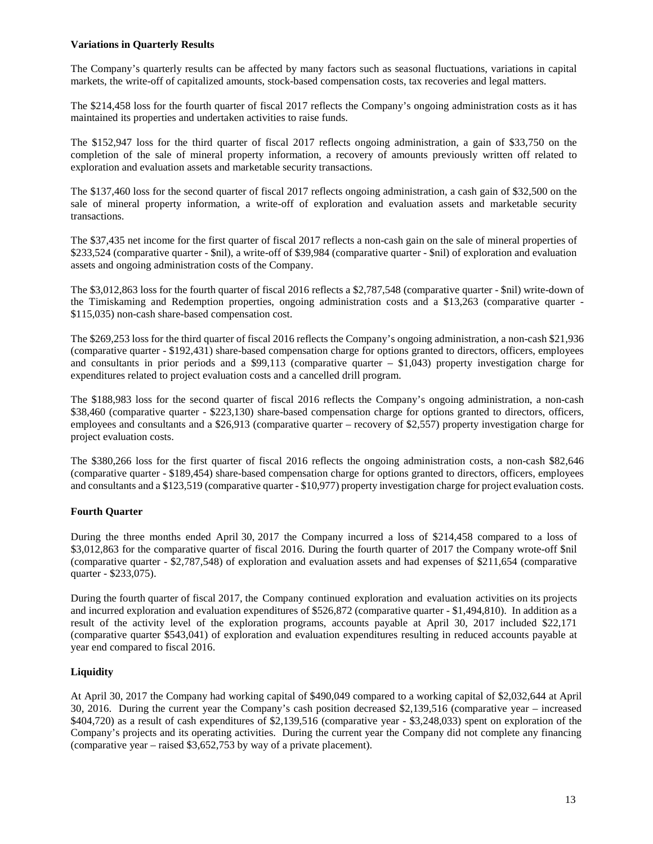# **Variations in Quarterly Results**

The Company's quarterly results can be affected by many factors such as seasonal fluctuations, variations in capital markets, the write-off of capitalized amounts, stock-based compensation costs, tax recoveries and legal matters.

The \$214,458 loss for the fourth quarter of fiscal 2017 reflects the Company's ongoing administration costs as it has maintained its properties and undertaken activities to raise funds.

The \$152,947 loss for the third quarter of fiscal 2017 reflects ongoing administration, a gain of \$33,750 on the completion of the sale of mineral property information, a recovery of amounts previously written off related to exploration and evaluation assets and marketable security transactions.

The \$137,460 loss for the second quarter of fiscal 2017 reflects ongoing administration, a cash gain of \$32,500 on the sale of mineral property information, a write-off of exploration and evaluation assets and marketable security transactions.

The \$37,435 net income for the first quarter of fiscal 2017 reflects a non-cash gain on the sale of mineral properties of \$233,524 (comparative quarter - \$nil), a write-off of \$39,984 (comparative quarter - \$nil) of exploration and evaluation assets and ongoing administration costs of the Company.

The \$3,012,863 loss for the fourth quarter of fiscal 2016 reflects a \$2,787,548 (comparative quarter - \$nil) write-down of the Timiskaming and Redemption properties, ongoing administration costs and a \$13,263 (comparative quarter - \$115,035) non-cash share-based compensation cost.

The \$269,253 loss for the third quarter of fiscal 2016 reflects the Company's ongoing administration, a non-cash \$21,936 (comparative quarter - \$192,431) share-based compensation charge for options granted to directors, officers, employees and consultants in prior periods and a \$99,113 (comparative quarter  $-$  \$1,043) property investigation charge for expenditures related to project evaluation costs and a cancelled drill program.

The \$188,983 loss for the second quarter of fiscal 2016 reflects the Company's ongoing administration, a non-cash \$38,460 (comparative quarter - \$223,130) share-based compensation charge for options granted to directors, officers, employees and consultants and a \$26,913 (comparative quarter – recovery of \$2,557) property investigation charge for project evaluation costs.

The \$380,266 loss for the first quarter of fiscal 2016 reflects the ongoing administration costs, a non-cash \$82,646 (comparative quarter - \$189,454) share-based compensation charge for options granted to directors, officers, employees and consultants and a \$123,519 (comparative quarter - \$10,977) property investigation charge for project evaluation costs.

# **Fourth Quarter**

During the three months ended April 30, 2017 the Company incurred a loss of \$214,458 compared to a loss of \$3,012,863 for the comparative quarter of fiscal 2016. During the fourth quarter of 2017 the Company wrote-off \$nil (comparative quarter - \$2,787,548) of exploration and evaluation assets and had expenses of \$211,654 (comparative quarter - \$233,075).

During the fourth quarter of fiscal 2017, the Company continued exploration and evaluation activities on its projects and incurred exploration and evaluation expenditures of \$526,872 (comparative quarter - \$1,494,810). In addition as a result of the activity level of the exploration programs, accounts payable at April 30, 2017 included \$22,171 (comparative quarter \$543,041) of exploration and evaluation expenditures resulting in reduced accounts payable at year end compared to fiscal 2016.

# **Liquidity**

At April 30, 2017 the Company had working capital of \$490,049 compared to a working capital of \$2,032,644 at April 30, 2016. During the current year the Company's cash position decreased \$2,139,516 (comparative year – increased \$404,720) as a result of cash expenditures of \$2,139,516 (comparative year - \$3,248,033) spent on exploration of the Company's projects and its operating activities. During the current year the Company did not complete any financing (comparative year – raised \$3,652,753 by way of a private placement).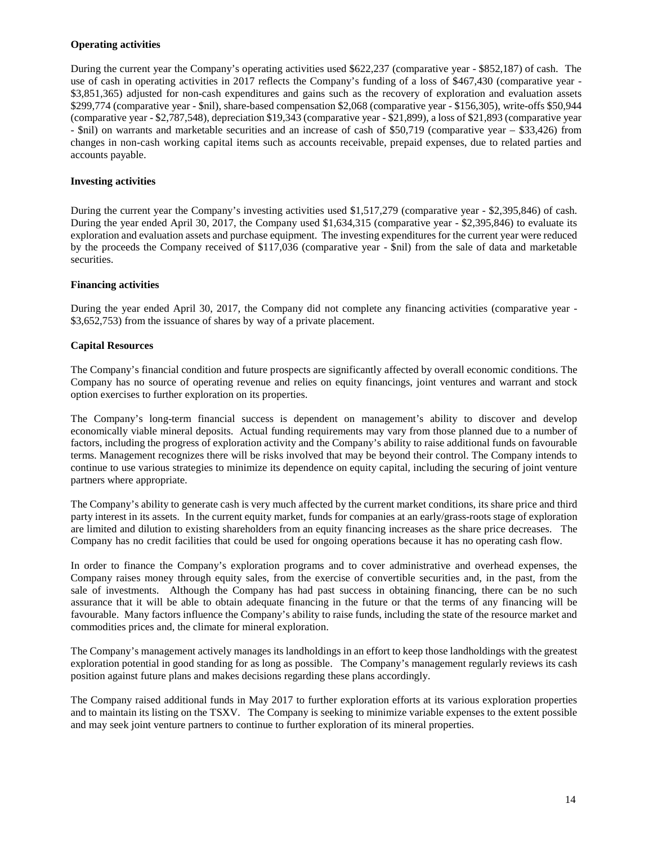# **Operating activities**

During the current year the Company's operating activities used \$622,237 (comparative year - \$852,187) of cash. The use of cash in operating activities in 2017 reflects the Company's funding of a loss of \$467,430 (comparative year - \$3,851,365) adjusted for non-cash expenditures and gains such as the recovery of exploration and evaluation assets \$299,774 (comparative year - \$nil), share-based compensation \$2,068 (comparative year - \$156,305), write-offs \$50,944 (comparative year - \$2,787,548), depreciation \$19,343 (comparative year - \$21,899), a loss of \$21,893 (comparative year - \$nil) on warrants and marketable securities and an increase of cash of \$50,719 (comparative year – \$33,426) from changes in non-cash working capital items such as accounts receivable, prepaid expenses, due to related parties and accounts payable.

# **Investing activities**

During the current year the Company's investing activities used \$1,517,279 (comparative year - \$2,395,846) of cash. During the year ended April 30, 2017, the Company used \$1,634,315 (comparative year - \$2,395,846) to evaluate its exploration and evaluation assets and purchase equipment. The investing expenditures for the current year were reduced by the proceeds the Company received of \$117,036 (comparative year - \$nil) from the sale of data and marketable securities.

# **Financing activities**

During the year ended April 30, 2017, the Company did not complete any financing activities (comparative year - \$3,652,753) from the issuance of shares by way of a private placement.

# **Capital Resources**

The Company's financial condition and future prospects are significantly affected by overall economic conditions. The Company has no source of operating revenue and relies on equity financings, joint ventures and warrant and stock option exercises to further exploration on its properties.

The Company's long-term financial success is dependent on management's ability to discover and develop economically viable mineral deposits. Actual funding requirements may vary from those planned due to a number of factors, including the progress of exploration activity and the Company's ability to raise additional funds on favourable terms. Management recognizes there will be risks involved that may be beyond their control. The Company intends to continue to use various strategies to minimize its dependence on equity capital, including the securing of joint venture partners where appropriate.

The Company's ability to generate cash is very much affected by the current market conditions, its share price and third party interest in its assets. In the current equity market, funds for companies at an early/grass-roots stage of exploration are limited and dilution to existing shareholders from an equity financing increases as the share price decreases. The Company has no credit facilities that could be used for ongoing operations because it has no operating cash flow.

In order to finance the Company's exploration programs and to cover administrative and overhead expenses, the Company raises money through equity sales, from the exercise of convertible securities and, in the past, from the sale of investments. Although the Company has had past success in obtaining financing, there can be no such assurance that it will be able to obtain adequate financing in the future or that the terms of any financing will be favourable. Many factors influence the Company's ability to raise funds, including the state of the resource market and commodities prices and, the climate for mineral exploration.

The Company's management actively manages its landholdings in an effort to keep those landholdings with the greatest exploration potential in good standing for as long as possible. The Company's management regularly reviews its cash position against future plans and makes decisions regarding these plans accordingly.

The Company raised additional funds in May 2017 to further exploration efforts at its various exploration properties and to maintain its listing on the TSXV. The Company is seeking to minimize variable expenses to the extent possible and may seek joint venture partners to continue to further exploration of its mineral properties.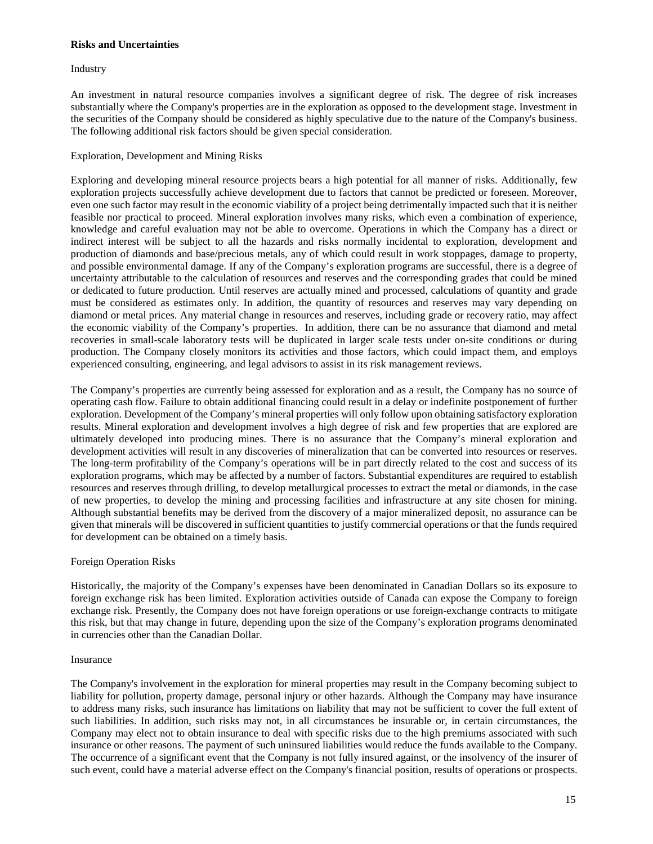# **Risks and Uncertainties**

Industry

An investment in natural resource companies involves a significant degree of risk. The degree of risk increases substantially where the Company's properties are in the exploration as opposed to the development stage. Investment in the securities of the Company should be considered as highly speculative due to the nature of the Company's business. The following additional risk factors should be given special consideration.

# Exploration, Development and Mining Risks

Exploring and developing mineral resource projects bears a high potential for all manner of risks. Additionally, few exploration projects successfully achieve development due to factors that cannot be predicted or foreseen. Moreover, even one such factor may result in the economic viability of a project being detrimentally impacted such that it is neither feasible nor practical to proceed. Mineral exploration involves many risks, which even a combination of experience, knowledge and careful evaluation may not be able to overcome. Operations in which the Company has a direct or indirect interest will be subject to all the hazards and risks normally incidental to exploration, development and production of diamonds and base/precious metals, any of which could result in work stoppages, damage to property, and possible environmental damage. If any of the Company's exploration programs are successful, there is a degree of uncertainty attributable to the calculation of resources and reserves and the corresponding grades that could be mined or dedicated to future production. Until reserves are actually mined and processed, calculations of quantity and grade must be considered as estimates only. In addition, the quantity of resources and reserves may vary depending on diamond or metal prices. Any material change in resources and reserves, including grade or recovery ratio, may affect the economic viability of the Company's properties. In addition, there can be no assurance that diamond and metal recoveries in small-scale laboratory tests will be duplicated in larger scale tests under on-site conditions or during production. The Company closely monitors its activities and those factors, which could impact them, and employs experienced consulting, engineering, and legal advisors to assist in its risk management reviews.

The Company's properties are currently being assessed for exploration and as a result, the Company has no source of operating cash flow. Failure to obtain additional financing could result in a delay or indefinite postponement of further exploration. Development of the Company's mineral properties will only follow upon obtaining satisfactory exploration results. Mineral exploration and development involves a high degree of risk and few properties that are explored are ultimately developed into producing mines. There is no assurance that the Company's mineral exploration and development activities will result in any discoveries of mineralization that can be converted into resources or reserves. The long-term profitability of the Company's operations will be in part directly related to the cost and success of its exploration programs, which may be affected by a number of factors. Substantial expenditures are required to establish resources and reserves through drilling, to develop metallurgical processes to extract the metal or diamonds, in the case of new properties, to develop the mining and processing facilities and infrastructure at any site chosen for mining. Although substantial benefits may be derived from the discovery of a major mineralized deposit, no assurance can be given that minerals will be discovered in sufficient quantities to justify commercial operations or that the funds required for development can be obtained on a timely basis.

# Foreign Operation Risks

Historically, the majority of the Company's expenses have been denominated in Canadian Dollars so its exposure to foreign exchange risk has been limited. Exploration activities outside of Canada can expose the Company to foreign exchange risk. Presently, the Company does not have foreign operations or use foreign-exchange contracts to mitigate this risk, but that may change in future, depending upon the size of the Company's exploration programs denominated in currencies other than the Canadian Dollar.

### Insurance

The Company's involvement in the exploration for mineral properties may result in the Company becoming subject to liability for pollution, property damage, personal injury or other hazards. Although the Company may have insurance to address many risks, such insurance has limitations on liability that may not be sufficient to cover the full extent of such liabilities. In addition, such risks may not, in all circumstances be insurable or, in certain circumstances, the Company may elect not to obtain insurance to deal with specific risks due to the high premiums associated with such insurance or other reasons. The payment of such uninsured liabilities would reduce the funds available to the Company. The occurrence of a significant event that the Company is not fully insured against, or the insolvency of the insurer of such event, could have a material adverse effect on the Company's financial position, results of operations or prospects.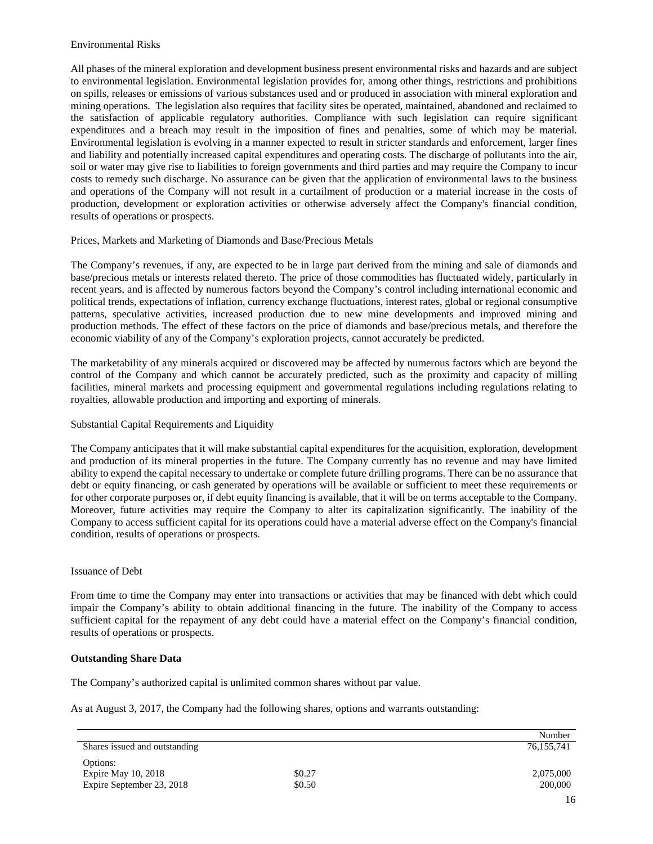# Environmental Risks

All phases of the mineral exploration and development business present environmental risks and hazards and are subject to environmental legislation. Environmental legislation provides for, among other things, restrictions and prohibitions on spills, releases or emissions of various substances used and or produced in association with mineral exploration and mining operations. The legislation also requires that facility sites be operated, maintained, abandoned and reclaimed to the satisfaction of applicable regulatory authorities. Compliance with such legislation can require significant expenditures and a breach may result in the imposition of fines and penalties, some of which may be material. Environmental legislation is evolving in a manner expected to result in stricter standards and enforcement, larger fines and liability and potentially increased capital expenditures and operating costs. The discharge of pollutants into the air, soil or water may give rise to liabilities to foreign governments and third parties and may require the Company to incur costs to remedy such discharge. No assurance can be given that the application of environmental laws to the business and operations of the Company will not result in a curtailment of production or a material increase in the costs of production, development or exploration activities or otherwise adversely affect the Company's financial condition, results of operations or prospects.

# Prices, Markets and Marketing of Diamonds and Base/Precious Metals

The Company's revenues, if any, are expected to be in large part derived from the mining and sale of diamonds and base/precious metals or interests related thereto. The price of those commodities has fluctuated widely, particularly in recent years, and is affected by numerous factors beyond the Company's control including international economic and political trends, expectations of inflation, currency exchange fluctuations, interest rates, global or regional consumptive patterns, speculative activities, increased production due to new mine developments and improved mining and production methods. The effect of these factors on the price of diamonds and base/precious metals, and therefore the economic viability of any of the Company's exploration projects, cannot accurately be predicted.

The marketability of any minerals acquired or discovered may be affected by numerous factors which are beyond the control of the Company and which cannot be accurately predicted, such as the proximity and capacity of milling facilities, mineral markets and processing equipment and governmental regulations including regulations relating to royalties, allowable production and importing and exporting of minerals.

# Substantial Capital Requirements and Liquidity

The Company anticipates that it will make substantial capital expenditures for the acquisition, exploration, development and production of its mineral properties in the future. The Company currently has no revenue and may have limited ability to expend the capital necessary to undertake or complete future drilling programs. There can be no assurance that debt or equity financing, or cash generated by operations will be available or sufficient to meet these requirements or for other corporate purposes or, if debt equity financing is available, that it will be on terms acceptable to the Company. Moreover, future activities may require the Company to alter its capitalization significantly. The inability of the Company to access sufficient capital for its operations could have a material adverse effect on the Company's financial condition, results of operations or prospects.

# Issuance of Debt

From time to time the Company may enter into transactions or activities that may be financed with debt which could impair the Company's ability to obtain additional financing in the future. The inability of the Company to access sufficient capital for the repayment of any debt could have a material effect on the Company's financial condition, results of operations or prospects.

# **Outstanding Share Data**

The Company's authorized capital is unlimited common shares without par value.

As at August 3, 2017, the Company had the following shares, options and warrants outstanding:

|                               |        | Number     |
|-------------------------------|--------|------------|
| Shares issued and outstanding |        | 76,155,741 |
| Options:                      |        |            |
| Expire May 10, 2018           | \$0.27 | 2,075,000  |
| Expire September 23, 2018     | \$0.50 | 200,000    |
|                               |        | 16         |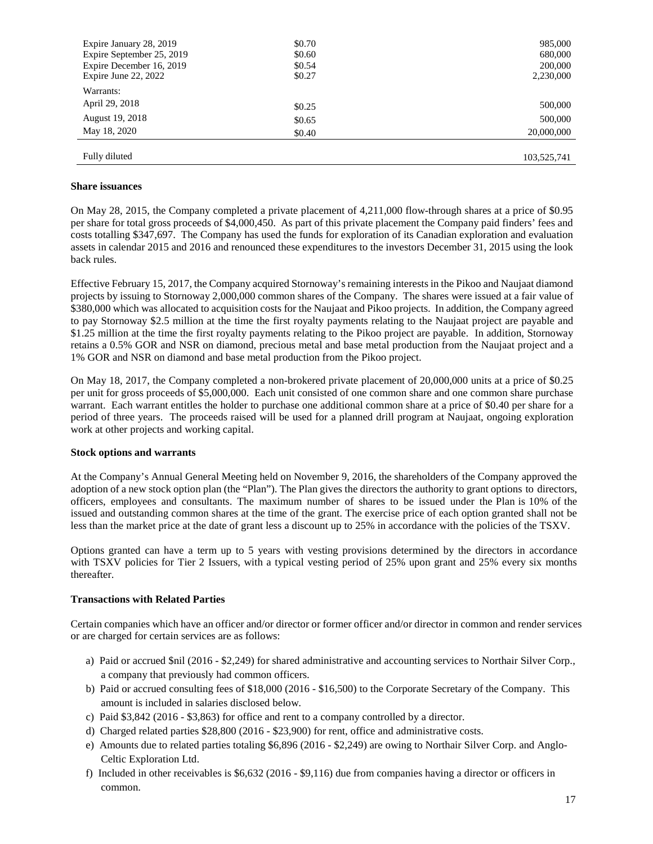| Expire January 28, 2019   | \$0.70 | 985,000     |
|---------------------------|--------|-------------|
| Expire September 25, 2019 | \$0.60 | 680,000     |
| Expire December 16, 2019  | \$0.54 | 200,000     |
| Expire June 22, 2022      | \$0.27 | 2,230,000   |
| Warrants:                 |        |             |
| April 29, 2018            | \$0.25 | 500,000     |
| August 19, 2018           | \$0.65 | 500,000     |
| May 18, 2020              | \$0.40 | 20,000,000  |
|                           |        |             |
| Fully diluted             |        | 103,525,741 |

### **Share issuances**

On May 28, 2015, the Company completed a private placement of 4,211,000 flow-through shares at a price of \$0.95 per share for total gross proceeds of \$4,000,450. As part of this private placement the Company paid finders' fees and costs totalling \$347,697. The Company has used the funds for exploration of its Canadian exploration and evaluation assets in calendar 2015 and 2016 and renounced these expenditures to the investors December 31, 2015 using the look back rules.

Effective February 15, 2017, the Company acquired Stornoway's remaining interests in the Pikoo and Naujaat diamond projects by issuing to Stornoway 2,000,000 common shares of the Company. The shares were issued at a fair value of \$380,000 which was allocated to acquisition costs for the Naujaat and Pikoo projects. In addition, the Company agreed to pay Stornoway \$2.5 million at the time the first royalty payments relating to the Naujaat project are payable and \$1.25 million at the time the first royalty payments relating to the Pikoo project are payable. In addition, Stornoway retains a 0.5% GOR and NSR on diamond, precious metal and base metal production from the Naujaat project and a 1% GOR and NSR on diamond and base metal production from the Pikoo project.

On May 18, 2017, the Company completed a non-brokered private placement of 20,000,000 units at a price of \$0.25 per unit for gross proceeds of \$5,000,000. Each unit consisted of one common share and one common share purchase warrant. Each warrant entitles the holder to purchase one additional common share at a price of \$0.40 per share for a period of three years. The proceeds raised will be used for a planned drill program at Naujaat, ongoing exploration work at other projects and working capital.

### **Stock options and warrants**

At the Company's Annual General Meeting held on November 9, 2016, the shareholders of the Company approved the adoption of a new stock option plan (the "Plan"). The Plan gives the directors the authority to grant options to directors, officers, employees and consultants. The maximum number of shares to be issued under the Plan is 10% of the issued and outstanding common shares at the time of the grant. The exercise price of each option granted shall not be less than the market price at the date of grant less a discount up to 25% in accordance with the policies of the TSXV.

Options granted can have a term up to 5 years with vesting provisions determined by the directors in accordance with TSXV policies for Tier 2 Issuers, with a typical vesting period of 25% upon grant and 25% every six months thereafter.

### **Transactions with Related Parties**

Certain companies which have an officer and/or director or former officer and/or director in common and render services or are charged for certain services are as follows:

- a) Paid or accrued \$nil (2016 \$2,249) for shared administrative and accounting services to Northair Silver Corp., a company that previously had common officers.
- b) Paid or accrued consulting fees of \$18,000 (2016 \$16,500) to the Corporate Secretary of the Company. This amount is included in salaries disclosed below.
- c) Paid \$3,842 (2016 \$3,863) for office and rent to a company controlled by a director.
- d) Charged related parties \$28,800 (2016 \$23,900) for rent, office and administrative costs.
- e) Amounts due to related parties totaling \$6,896 (2016 \$2,249) are owing to Northair Silver Corp. and Anglo-Celtic Exploration Ltd.
- f) Included in other receivables is \$6,632 (2016 \$9,116) due from companies having a director or officers in common.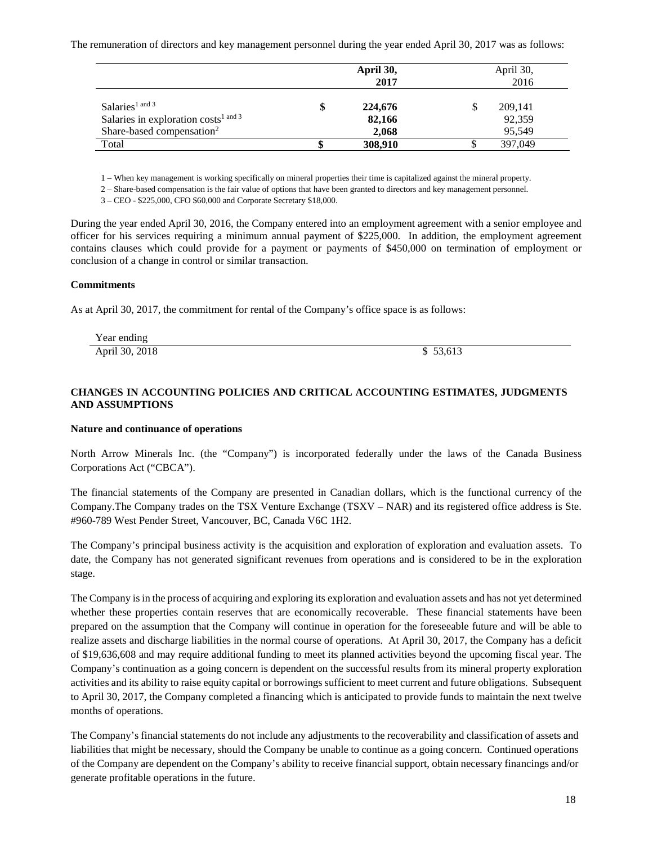The remuneration of directors and key management personnel during the year ended April 30, 2017 was as follows:

|                                                  | April 30,<br>2017 | April 30,<br>2016 |
|--------------------------------------------------|-------------------|-------------------|
| Salaries <sup>1</sup> and 3                      | \$<br>224,676     | 209,141           |
| Salaries in exploration $costs^{\text{1 and 3}}$ | 82,166            | 92,359            |
| Share-based compensation <sup>2</sup>            | 2,068             | 95,549            |
| Total                                            | 308,910           | 397,049           |

1 – When key management is working specifically on mineral properties their time is capitalized against the mineral property.

2 – Share-based compensation is the fair value of options that have been granted to directors and key management personnel.

3 – CEO - \$225,000, CFO \$60,000 and Corporate Secretary \$18,000.

During the year ended April 30, 2016, the Company entered into an employment agreement with a senior employee and officer for his services requiring a minimum annual payment of \$225,000. In addition, the employment agreement contains clauses which could provide for a payment or payments of \$450,000 on termination of employment or conclusion of a change in control or similar transaction.

### **Commitments**

As at April 30, 2017, the commitment for rental of the Company's office space is as follows:

| Year ending    |        |
|----------------|--------|
| April 30, 2018 | 53,613 |

# **CHANGES IN ACCOUNTING POLICIES AND CRITICAL ACCOUNTING ESTIMATES, JUDGMENTS AND ASSUMPTIONS**

### **Nature and continuance of operations**

North Arrow Minerals Inc. (the "Company") is incorporated federally under the laws of the Canada Business Corporations Act ("CBCA").

The financial statements of the Company are presented in Canadian dollars, which is the functional currency of the Company.The Company trades on the TSX Venture Exchange (TSXV – NAR) and its registered office address is Ste. #960-789 West Pender Street, Vancouver, BC, Canada V6C 1H2.

The Company's principal business activity is the acquisition and exploration of exploration and evaluation assets. To date, the Company has not generated significant revenues from operations and is considered to be in the exploration stage.

The Company is in the process of acquiring and exploring its exploration and evaluation assets and has not yet determined whether these properties contain reserves that are economically recoverable. These financial statements have been prepared on the assumption that the Company will continue in operation for the foreseeable future and will be able to realize assets and discharge liabilities in the normal course of operations. At April 30, 2017, the Company has a deficit of \$19,636,608 and may require additional funding to meet its planned activities beyond the upcoming fiscal year. The Company's continuation as a going concern is dependent on the successful results from its mineral property exploration activities and its ability to raise equity capital or borrowings sufficient to meet current and future obligations. Subsequent to April 30, 2017, the Company completed a financing which is anticipated to provide funds to maintain the next twelve months of operations.

The Company's financial statements do not include any adjustments to the recoverability and classification of assets and liabilities that might be necessary, should the Company be unable to continue as a going concern. Continued operations of the Company are dependent on the Company's ability to receive financial support, obtain necessary financings and/or generate profitable operations in the future.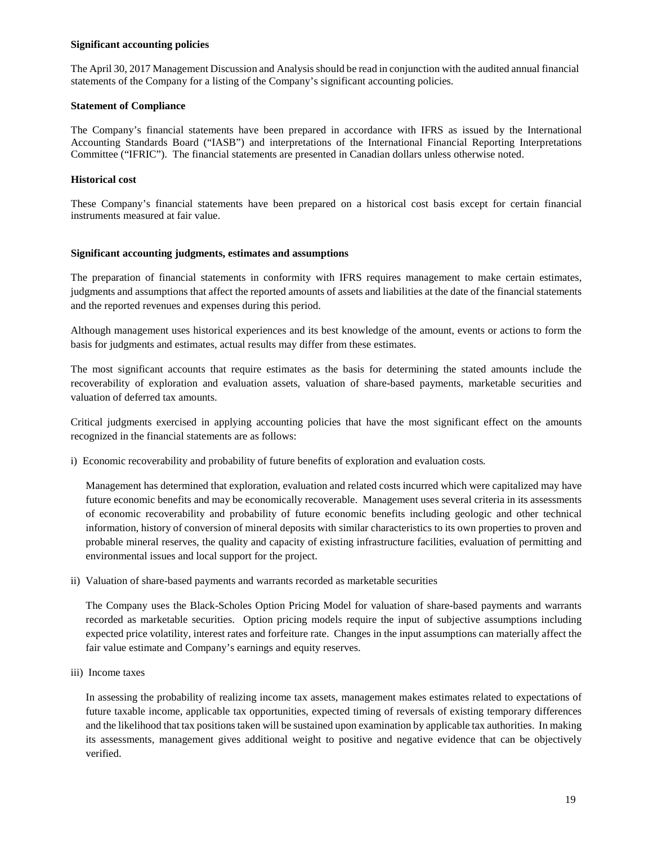### **Significant accounting policies**

The April 30, 2017 Management Discussion and Analysis should be read in conjunction with the audited annual financial statements of the Company for a listing of the Company's significant accounting policies.

### **Statement of Compliance**

The Company's financial statements have been prepared in accordance with IFRS as issued by the International Accounting Standards Board ("IASB") and interpretations of the International Financial Reporting Interpretations Committee ("IFRIC"). The financial statements are presented in Canadian dollars unless otherwise noted.

### **Historical cost**

These Company's financial statements have been prepared on a historical cost basis except for certain financial instruments measured at fair value.

### **Significant accounting judgments, estimates and assumptions**

The preparation of financial statements in conformity with IFRS requires management to make certain estimates, judgments and assumptions that affect the reported amounts of assets and liabilities at the date of the financial statements and the reported revenues and expenses during this period.

Although management uses historical experiences and its best knowledge of the amount, events or actions to form the basis for judgments and estimates, actual results may differ from these estimates.

The most significant accounts that require estimates as the basis for determining the stated amounts include the recoverability of exploration and evaluation assets, valuation of share-based payments, marketable securities and valuation of deferred tax amounts.

Critical judgments exercised in applying accounting policies that have the most significant effect on the amounts recognized in the financial statements are as follows:

i) Economic recoverability and probability of future benefits of exploration and evaluation costs*.* 

Management has determined that exploration, evaluation and related costs incurred which were capitalized may have future economic benefits and may be economically recoverable. Management uses several criteria in its assessments of economic recoverability and probability of future economic benefits including geologic and other technical information, history of conversion of mineral deposits with similar characteristics to its own properties to proven and probable mineral reserves, the quality and capacity of existing infrastructure facilities, evaluation of permitting and environmental issues and local support for the project.

ii) Valuation of share-based payments and warrants recorded as marketable securities

The Company uses the Black-Scholes Option Pricing Model for valuation of share-based payments and warrants recorded as marketable securities. Option pricing models require the input of subjective assumptions including expected price volatility, interest rates and forfeiture rate. Changes in the input assumptions can materially affect the fair value estimate and Company's earnings and equity reserves.

iii) Income taxes

In assessing the probability of realizing income tax assets, management makes estimates related to expectations of future taxable income, applicable tax opportunities, expected timing of reversals of existing temporary differences and the likelihood that tax positions taken will be sustained upon examination by applicable tax authorities. In making its assessments, management gives additional weight to positive and negative evidence that can be objectively verified.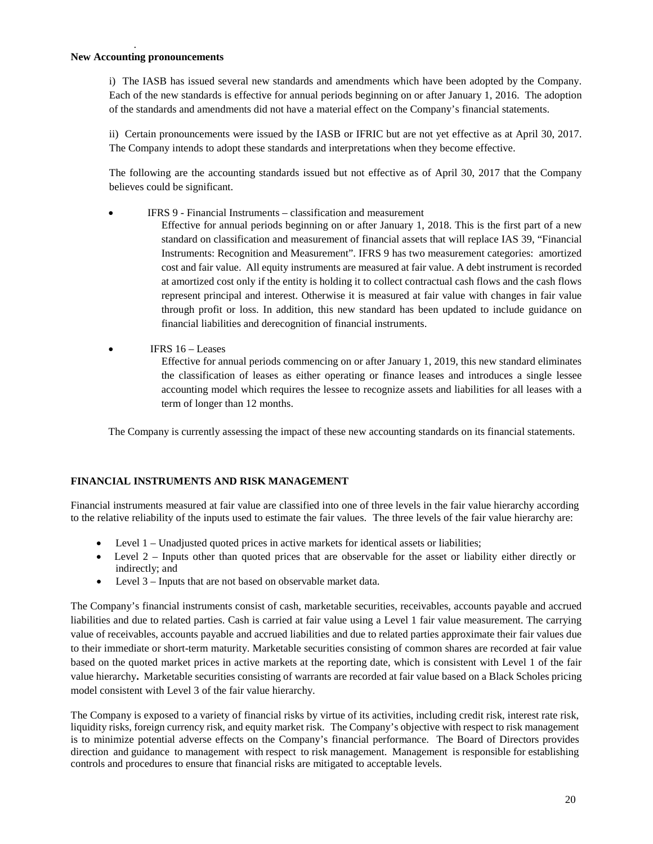### **New Accounting pronouncements**

.

i) The IASB has issued several new standards and amendments which have been adopted by the Company. Each of the new standards is effective for annual periods beginning on or after January 1, 2016. The adoption of the standards and amendments did not have a material effect on the Company's financial statements.

ii) Certain pronouncements were issued by the IASB or IFRIC but are not yet effective as at April 30, 2017. The Company intends to adopt these standards and interpretations when they become effective.

The following are the accounting standards issued but not effective as of April 30, 2017 that the Company believes could be significant.

- IFRS 9 Financial Instruments classification and measurement
	- Effective for annual periods beginning on or after January 1, 2018. This is the first part of a new standard on classification and measurement of financial assets that will replace IAS 39, "Financial Instruments: Recognition and Measurement". IFRS 9 has two measurement categories: amortized cost and fair value. All equity instruments are measured at fair value. A debt instrument is recorded at amortized cost only if the entity is holding it to collect contractual cash flows and the cash flows represent principal and interest. Otherwise it is measured at fair value with changes in fair value through profit or loss. In addition, this new standard has been updated to include guidance on financial liabilities and derecognition of financial instruments.
- **IFRS**  $16 -$ **Leases**

Effective for annual periods commencing on or after January 1, 2019, this new standard eliminates the classification of leases as either operating or finance leases and introduces a single lessee accounting model which requires the lessee to recognize assets and liabilities for all leases with a term of longer than 12 months.

The Company is currently assessing the impact of these new accounting standards on its financial statements.

# **FINANCIAL INSTRUMENTS AND RISK MANAGEMENT**

Financial instruments measured at fair value are classified into one of three levels in the fair value hierarchy according to the relative reliability of the inputs used to estimate the fair values. The three levels of the fair value hierarchy are:

- Level 1 Unadjusted quoted prices in active markets for identical assets or liabilities;
- Level 2 Inputs other than quoted prices that are observable for the asset or liability either directly or indirectly; and
- Level 3 Inputs that are not based on observable market data.

The Company's financial instruments consist of cash, marketable securities, receivables, accounts payable and accrued liabilities and due to related parties. Cash is carried at fair value using a Level 1 fair value measurement. The carrying value of receivables, accounts payable and accrued liabilities and due to related parties approximate their fair values due to their immediate or short-term maturity. Marketable securities consisting of common shares are recorded at fair value based on the quoted market prices in active markets at the reporting date, which is consistent with Level 1 of the fair value hierarchy**.** Marketable securities consisting of warrants are recorded at fair value based on a Black Scholes pricing model consistent with Level 3 of the fair value hierarchy.

The Company is exposed to a variety of financial risks by virtue of its activities, including credit risk, interest rate risk, liquidity risks, foreign currency risk, and equity market risk. The Company's objective with respect to risk management is to minimize potential adverse effects on the Company's financial performance. The Board of Directors provides direction and guidance to management with respect to risk management. Management is responsible for establishing controls and procedures to ensure that financial risks are mitigated to acceptable levels.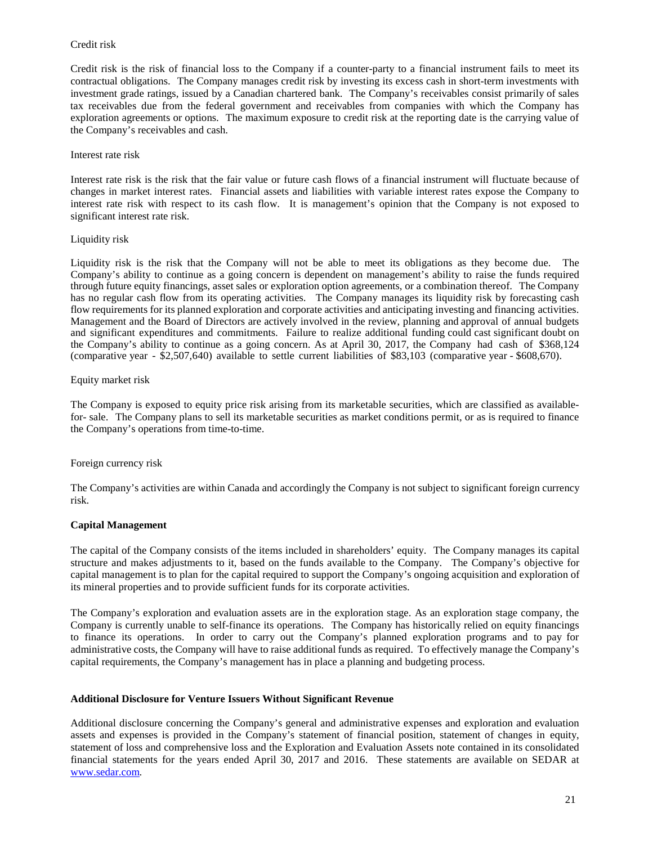# Credit risk

Credit risk is the risk of financial loss to the Company if a counter-party to a financial instrument fails to meet its contractual obligations. The Company manages credit risk by investing its excess cash in short-term investments with investment grade ratings, issued by a Canadian chartered bank. The Company's receivables consist primarily of sales tax receivables due from the federal government and receivables from companies with which the Company has exploration agreements or options. The maximum exposure to credit risk at the reporting date is the carrying value of the Company's receivables and cash.

### Interest rate risk

Interest rate risk is the risk that the fair value or future cash flows of a financial instrument will fluctuate because of changes in market interest rates. Financial assets and liabilities with variable interest rates expose the Company to interest rate risk with respect to its cash flow. It is management's opinion that the Company is not exposed to significant interest rate risk.

### Liquidity risk

Liquidity risk is the risk that the Company will not be able to meet its obligations as they become due. The Company's ability to continue as a going concern is dependent on management's ability to raise the funds required through future equity financings, asset sales or exploration option agreements, or a combination thereof. The Company has no regular cash flow from its operating activities. The Company manages its liquidity risk by forecasting cash flow requirements for its planned exploration and corporate activities and anticipating investing and financing activities. Management and the Board of Directors are actively involved in the review, planning and approval of annual budgets and significant expenditures and commitments. Failure to realize additional funding could cast significant doubt on the Company's ability to continue as a going concern. As at April 30, 2017, the Company had cash of \$368,124 (comparative year - \$2,507,640) available to settle current liabilities of \$83,103 (comparative year - \$608,670).

### Equity market risk

The Company is exposed to equity price risk arising from its marketable securities, which are classified as availablefor- sale. The Company plans to sell its marketable securities as market conditions permit, or as is required to finance the Company's operations from time-to-time.

# Foreign currency risk

The Company's activities are within Canada and accordingly the Company is not subject to significant foreign currency risk.

# **Capital Management**

The capital of the Company consists of the items included in shareholders' equity. The Company manages its capital structure and makes adjustments to it, based on the funds available to the Company. The Company's objective for capital management is to plan for the capital required to support the Company's ongoing acquisition and exploration of its mineral properties and to provide sufficient funds for its corporate activities.

The Company's exploration and evaluation assets are in the exploration stage. As an exploration stage company, the Company is currently unable to self-finance its operations. The Company has historically relied on equity financings to finance its operations. In order to carry out the Company's planned exploration programs and to pay for administrative costs, the Company will have to raise additional funds as required. To effectively manage the Company's capital requirements, the Company's management has in place a planning and budgeting process.

### **Additional Disclosure for Venture Issuers Without Significant Revenue**

Additional disclosure concerning the Company's general and administrative expenses and exploration and evaluation assets and expenses is provided in the Company's statement of financial position, statement of changes in equity, statement of loss and comprehensive loss and the Exploration and Evaluation Assets note contained in its consolidated financial statements for the years ended April 30, 2017 and 2016. These statements are available on SEDAR at [www.sedar.com.](http://www.sedar.com/)